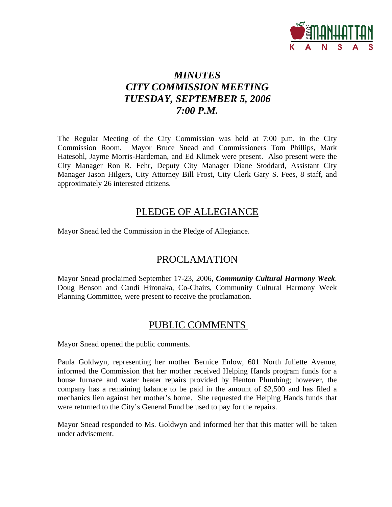

# *MINUTES CITY COMMISSION MEETING TUESDAY, SEPTEMBER 5, 2006 7:00 P.M.*

The Regular Meeting of the City Commission was held at 7:00 p.m. in the City Commission Room. Mayor Bruce Snead and Commissioners Tom Phillips, Mark Hatesohl, Jayme Morris-Hardeman, and Ed Klimek were present. Also present were the City Manager Ron R. Fehr, Deputy City Manager Diane Stoddard, Assistant City Manager Jason Hilgers, City Attorney Bill Frost, City Clerk Gary S. Fees, 8 staff, and approximately 26 interested citizens.

## PLEDGE OF ALLEGIANCE

Mayor Snead led the Commission in the Pledge of Allegiance.

# PROCLAMATION

Mayor Snead proclaimed September 17-23, 2006, *Community Cultural Harmony Week*. Doug Benson and Candi Hironaka, Co-Chairs, Community Cultural Harmony Week Planning Committee, were present to receive the proclamation.

# PUBLIC COMMENTS

Mayor Snead opened the public comments.

Paula Goldwyn, representing her mother Bernice Enlow, 601 North Juliette Avenue, informed the Commission that her mother received Helping Hands program funds for a house furnace and water heater repairs provided by Henton Plumbing; however, the company has a remaining balance to be paid in the amount of \$2,500 and has filed a mechanics lien against her mother's home. She requested the Helping Hands funds that were returned to the City's General Fund be used to pay for the repairs.

Mayor Snead responded to Ms. Goldwyn and informed her that this matter will be taken under advisement.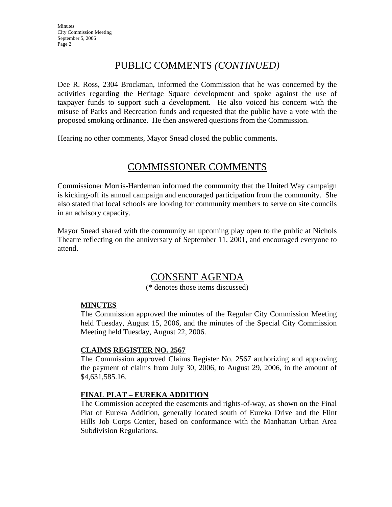# PUBLIC COMMENTS *(CONTINUED)*

Dee R. Ross, 2304 Brockman, informed the Commission that he was concerned by the activities regarding the Heritage Square development and spoke against the use of taxpayer funds to support such a development. He also voiced his concern with the misuse of Parks and Recreation funds and requested that the public have a vote with the proposed smoking ordinance. He then answered questions from the Commission.

Hearing no other comments, Mayor Snead closed the public comments.

# COMMISSIONER COMMENTS

Commissioner Morris-Hardeman informed the community that the United Way campaign is kicking-off its annual campaign and encouraged participation from the community. She also stated that local schools are looking for community members to serve on site councils in an advisory capacity.

Mayor Snead shared with the community an upcoming play open to the public at Nichols Theatre reflecting on the anniversary of September 11, 2001, and encouraged everyone to attend.

## CONSENT AGENDA

(\* denotes those items discussed)

### **MINUTES**

The Commission approved the minutes of the Regular City Commission Meeting held Tuesday, August 15, 2006, and the minutes of the Special City Commission Meeting held Tuesday, August 22, 2006.

### **CLAIMS REGISTER NO. 2567**

The Commission approved Claims Register No. 2567 authorizing and approving the payment of claims from July 30, 2006, to August 29, 2006, in the amount of \$4,631,585.16.

### **FINAL PLAT – EUREKA ADDITION**

The Commission accepted the easements and rights-of-way, as shown on the Final Plat of Eureka Addition, generally located south of Eureka Drive and the Flint Hills Job Corps Center, based on conformance with the Manhattan Urban Area Subdivision Regulations.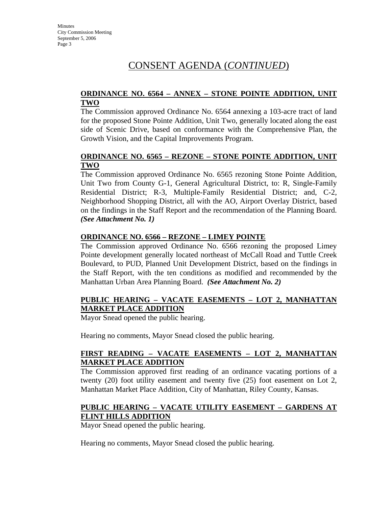# CONSENT AGENDA (*CONTINUED*)

### **ORDINANCE NO. 6564 – ANNEX – STONE POINTE ADDITION, UNIT TWO**

The Commission approved Ordinance No. 6564 annexing a 103-acre tract of land for the proposed Stone Pointe Addition, Unit Two, generally located along the east side of Scenic Drive, based on conformance with the Comprehensive Plan, the Growth Vision, and the Capital Improvements Program.

### **ORDINANCE NO. 6565 – REZONE – STONE POINTE ADDITION, UNIT TWO**

The Commission approved Ordinance No. 6565 rezoning Stone Pointe Addition, Unit Two from County G-1, General Agricultural District, to: R, Single-Family Residential District; R-3, Multiple-Family Residential District; and, C-2, Neighborhood Shopping District, all with the AO, Airport Overlay District, based on the findings in the Staff Report and the recommendation of the Planning Board. *(See Attachment No. 1)* 

### **ORDINANCE NO. 6566 – REZONE – LIMEY POINTE**

The Commission approved Ordinance No. 6566 rezoning the proposed Limey Pointe development generally located northeast of McCall Road and Tuttle Creek Boulevard, to PUD, Planned Unit Development District, based on the findings in the Staff Report, with the ten conditions as modified and recommended by the Manhattan Urban Area Planning Board. *(See Attachment No. 2)* 

## **PUBLIC HEARING – VACATE EASEMENTS – LOT 2, MANHATTAN MARKET PLACE ADDITION**

Mayor Snead opened the public hearing.

Hearing no comments, Mayor Snead closed the public hearing.

### **FIRST READING – VACATE EASEMENTS – LOT 2, MANHATTAN MARKET PLACE ADDITION**

The Commission approved first reading of an ordinance vacating portions of a twenty (20) foot utility easement and twenty five (25) foot easement on Lot 2, Manhattan Market Place Addition, City of Manhattan, Riley County, Kansas.

### **PUBLIC HEARING – VACATE UTILITY EASEMENT – GARDENS AT FLINT HILLS ADDITION**

Mayor Snead opened the public hearing.

Hearing no comments, Mayor Snead closed the public hearing.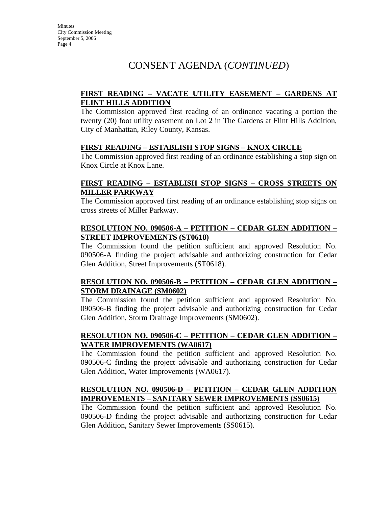# CONSENT AGENDA (*CONTINUED*)

## **FIRST READING – VACATE UTILITY EASEMENT – GARDENS AT FLINT HILLS ADDITION**

The Commission approved first reading of an ordinance vacating a portion the twenty (20) foot utility easement on Lot 2 in The Gardens at Flint Hills Addition, City of Manhattan, Riley County, Kansas.

### **FIRST READING – ESTABLISH STOP SIGNS – KNOX CIRCLE**

The Commission approved first reading of an ordinance establishing a stop sign on Knox Circle at Knox Lane.

### **FIRST READING – ESTABLISH STOP SIGNS – CROSS STREETS ON MILLER PARKWAY**

The Commission approved first reading of an ordinance establishing stop signs on cross streets of Miller Parkway.

### **RESOLUTION NO. 090506-A – PETITION – CEDAR GLEN ADDITION – STREET IMPROVEMENTS (ST0618)**

The Commission found the petition sufficient and approved Resolution No. 090506-A finding the project advisable and authorizing construction for Cedar Glen Addition, Street Improvements (ST0618).

## **RESOLUTION NO. 090506-B – PETITION – CEDAR GLEN ADDITION – STORM DRAINAGE (SM0602)**

The Commission found the petition sufficient and approved Resolution No. 090506-B finding the project advisable and authorizing construction for Cedar Glen Addition, Storm Drainage Improvements (SM0602).

## **RESOLUTION NO. 090506-C – PETITION – CEDAR GLEN ADDITION – WATER IMPROVEMENTS (WA0617)**

The Commission found the petition sufficient and approved Resolution No. 090506-C finding the project advisable and authorizing construction for Cedar Glen Addition, Water Improvements (WA0617).

## **RESOLUTION NO. 090506-D – PETITION – CEDAR GLEN ADDITION IMPROVEMENTS – SANITARY SEWER IMPROVEMENTS (SS0615)**

The Commission found the petition sufficient and approved Resolution No. 090506-D finding the project advisable and authorizing construction for Cedar Glen Addition, Sanitary Sewer Improvements (SS0615).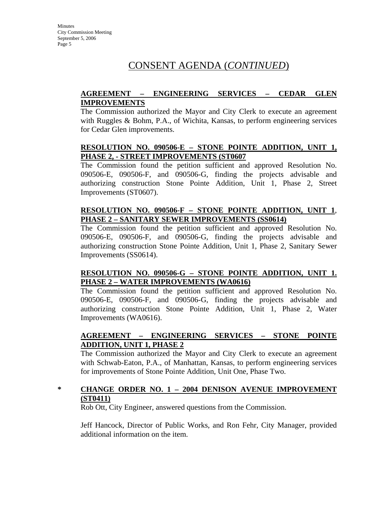## CONSENT AGENDA (*CONTINUED*)

### **AGREEMENT – ENGINEERING SERVICES – CEDAR GLEN IMPROVEMENTS**

The Commission authorized the Mayor and City Clerk to execute an agreement with Ruggles & Bohm, P.A., of Wichita, Kansas, to perform engineering services for Cedar Glen improvements.

### **RESOLUTION NO. 090506-E – STONE POINTE ADDITION, UNIT 1, PHASE 2, - STREET IMPROVEMENTS (ST0607**

The Commission found the petition sufficient and approved Resolution No. 090506-E, 090506-F, and 090506-G, finding the projects advisable and authorizing construction Stone Pointe Addition, Unit 1, Phase 2, Street Improvements (ST0607).

### **RESOLUTION NO. 090506-F – STONE POINTE ADDITION, UNIT 1**, **PHASE 2 – SANITARY SEWER IMPROVEMENTS (SS0614)**

The Commission found the petition sufficient and approved Resolution No. 090506-E, 090506-F, and 090506-G, finding the projects advisable and authorizing construction Stone Pointe Addition, Unit 1, Phase 2, Sanitary Sewer Improvements (SS0614).

### **RESOLUTION NO. 090506-G – STONE POINTE ADDITION, UNIT 1. PHASE 2 – WATER IMPROVEMENTS (WA0616)**

The Commission found the petition sufficient and approved Resolution No. 090506-E, 090506-F, and 090506-G, finding the projects advisable and authorizing construction Stone Pointe Addition, Unit 1, Phase 2, Water Improvements (WA0616).

## **AGREEMENT – ENGINEERING SERVICES – STONE POINTE ADDITION, UNIT 1, PHASE 2**

The Commission authorized the Mayor and City Clerk to execute an agreement with Schwab-Eaton, P.A., of Manhattan, Kansas, to perform engineering services for improvements of Stone Pointe Addition, Unit One, Phase Two.

### **\* CHANGE ORDER NO. 1 – 2004 DENISON AVENUE IMPROVEMENT (ST0411)**

Rob Ott, City Engineer, answered questions from the Commission.

Jeff Hancock, Director of Public Works, and Ron Fehr, City Manager, provided additional information on the item.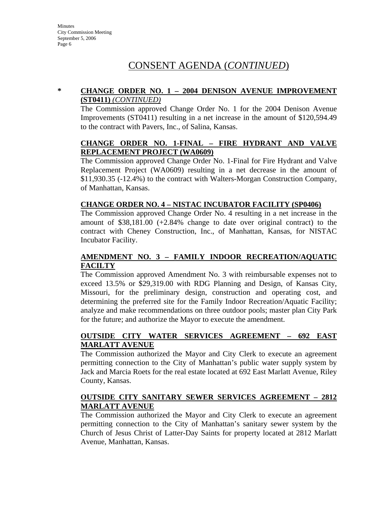# CONSENT AGENDA (*CONTINUED*)

## **\* CHANGE ORDER NO. 1 – 2004 DENISON AVENUE IMPROVEMENT (ST0411)** *(CONTINUED)*

The Commission approved Change Order No. 1 for the 2004 Denison Avenue Improvements (ST0411) resulting in a net increase in the amount of \$120,594.49 to the contract with Pavers, Inc., of Salina, Kansas.

## **CHANGE ORDER NO. 1-FINAL – FIRE HYDRANT AND VALVE REPLACEMENT PROJECT (WA0609)**

The Commission approved Change Order No. 1-Final for Fire Hydrant and Valve Replacement Project (WA0609) resulting in a net decrease in the amount of \$11,930.35 (-12.4%) to the contract with Walters-Morgan Construction Company, of Manhattan, Kansas.

### **CHANGE ORDER NO. 4 – NISTAC INCUBATOR FACILITY (SP0406)**

The Commission approved Change Order No. 4 resulting in a net increase in the amount of  $$38,181.00$  ( $+2.84\%$  change to date over original contract) to the contract with Cheney Construction, Inc., of Manhattan, Kansas, for NISTAC Incubator Facility.

### **AMENDMENT NO. 3 – FAMILY INDOOR RECREATION/AQUATIC FACILTY**

The Commission approved Amendment No. 3 with reimbursable expenses not to exceed 13.5% or \$29,319.00 with RDG Planning and Design, of Kansas City, Missouri, for the preliminary design, construction and operating cost, and determining the preferred site for the Family Indoor Recreation/Aquatic Facility; analyze and make recommendations on three outdoor pools; master plan City Park for the future; and authorize the Mayor to execute the amendment.

## **OUTSIDE CITY WATER SERVICES AGREEMENT – 692 EAST MARLATT AVENUE**

The Commission authorized the Mayor and City Clerk to execute an agreement permitting connection to the City of Manhattan's public water supply system by Jack and Marcia Roets for the real estate located at 692 East Marlatt Avenue, Riley County, Kansas.

## **OUTSIDE CITY SANITARY SEWER SERVICES AGREEMENT – 2812 MARLATT AVENUE**

The Commission authorized the Mayor and City Clerk to execute an agreement permitting connection to the City of Manhattan's sanitary sewer system by the Church of Jesus Christ of Latter-Day Saints for property located at 2812 Marlatt Avenue, Manhattan, Kansas.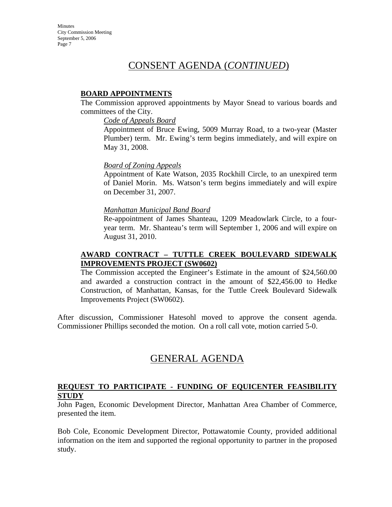## CONSENT AGENDA (*CONTINUED*)

### **BOARD APPOINTMENTS**

The Commission approved appointments by Mayor Snead to various boards and committees of the City.

#### *Code of Appeals Board*

Appointment of Bruce Ewing, 5009 Murray Road, to a two-year (Master Plumber) term. Mr. Ewing's term begins immediately, and will expire on May 31, 2008.

### *Board of Zoning Appeals*

Appointment of Kate Watson, 2035 Rockhill Circle, to an unexpired term of Daniel Morin. Ms. Watson's term begins immediately and will expire on December 31, 2007.

### *Manhattan Municipal Band Board*

Re-appointment of James Shanteau, 1209 Meadowlark Circle, to a fouryear term. Mr. Shanteau's term will September 1, 2006 and will expire on August 31, 2010.

### **AWARD CONTRACT – TUTTLE CREEK BOULEVARD SIDEWALK IMPROVEMENTS PROJECT (SW0602)**

The Commission accepted the Engineer's Estimate in the amount of \$24,560.00 and awarded a construction contract in the amount of \$22,456.00 to Hedke Construction, of Manhattan, Kansas, for the Tuttle Creek Boulevard Sidewalk Improvements Project (SW0602).

After discussion, Commissioner Hatesohl moved to approve the consent agenda. Commissioner Phillips seconded the motion. On a roll call vote, motion carried 5-0.

# GENERAL AGENDA

### **REQUEST TO PARTICIPATE - FUNDING OF EQUICENTER FEASIBILITY STUDY**

John Pagen, Economic Development Director, Manhattan Area Chamber of Commerce, presented the item.

Bob Cole, Economic Development Director, Pottawatomie County, provided additional information on the item and supported the regional opportunity to partner in the proposed study.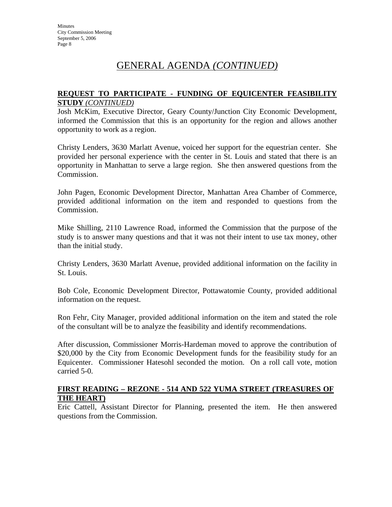### **REQUEST TO PARTICIPATE - FUNDING OF EQUICENTER FEASIBILITY STUDY** *(CONTINUED)*

Josh McKim, Executive Director, Geary County/Junction City Economic Development, informed the Commission that this is an opportunity for the region and allows another opportunity to work as a region.

Christy Lenders, 3630 Marlatt Avenue, voiced her support for the equestrian center. She provided her personal experience with the center in St. Louis and stated that there is an opportunity in Manhattan to serve a large region. She then answered questions from the Commission.

John Pagen, Economic Development Director, Manhattan Area Chamber of Commerce, provided additional information on the item and responded to questions from the Commission.

Mike Shilling, 2110 Lawrence Road, informed the Commission that the purpose of the study is to answer many questions and that it was not their intent to use tax money, other than the initial study.

Christy Lenders, 3630 Marlatt Avenue, provided additional information on the facility in St. Louis.

Bob Cole, Economic Development Director, Pottawatomie County, provided additional information on the request.

Ron Fehr, City Manager, provided additional information on the item and stated the role of the consultant will be to analyze the feasibility and identify recommendations.

After discussion, Commissioner Morris-Hardeman moved to approve the contribution of \$20,000 by the City from Economic Development funds for the feasibility study for an Equicenter. Commissioner Hatesohl seconded the motion. On a roll call vote, motion carried 5-0.

### **FIRST READING – REZONE - 514 AND 522 YUMA STREET (TREASURES OF THE HEART)**

Eric Cattell, Assistant Director for Planning, presented the item. He then answered questions from the Commission.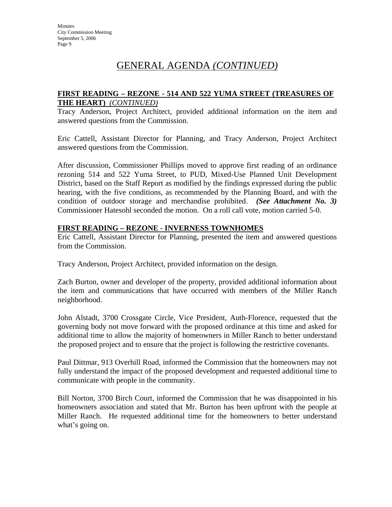### **FIRST READING – REZONE - 514 AND 522 YUMA STREET (TREASURES OF THE HEART)** *(CONTINUED)*

Tracy Anderson, Project Architect, provided additional information on the item and answered questions from the Commission.

Eric Cattell, Assistant Director for Planning, and Tracy Anderson, Project Architect answered questions from the Commission.

After discussion, Commissioner Phillips moved to approve first reading of an ordinance rezoning 514 and 522 Yuma Street, to PUD, Mixed-Use Planned Unit Development District, based on the Staff Report as modified by the findings expressed during the public hearing, with the five conditions, as recommended by the Planning Board, and with the condition of outdoor storage and merchandise prohibited. *(See Attachment No. 3)*  Commissioner Hatesohl seconded the motion. On a roll call vote, motion carried 5-0.

### **FIRST READING – REZONE - INVERNESS TOWNHOMES**

Eric Cattell, Assistant Director for Planning, presented the item and answered questions from the Commission.

Tracy Anderson, Project Architect, provided information on the design.

Zach Burton, owner and developer of the property, provided additional information about the item and communications that have occurred with members of the Miller Ranch neighborhood.

John Alstadt, 3700 Crossgate Circle, Vice President, Auth-Florence, requested that the governing body not move forward with the proposed ordinance at this time and asked for additional time to allow the majority of homeowners in Miller Ranch to better understand the proposed project and to ensure that the project is following the restrictive covenants.

Paul Dittmar, 913 Overhill Road, informed the Commission that the homeowners may not fully understand the impact of the proposed development and requested additional time to communicate with people in the community.

Bill Norton, 3700 Birch Court, informed the Commission that he was disappointed in his homeowners association and stated that Mr. Burton has been upfront with the people at Miller Ranch. He requested additional time for the homeowners to better understand what's going on.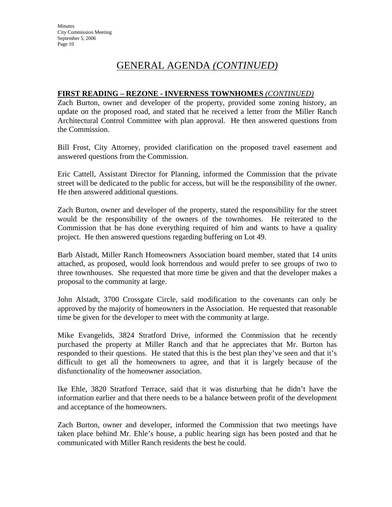### **FIRST READING – REZONE - INVERNESS TOWNHOMES** *(CONTINUED)*

Zach Burton, owner and developer of the property, provided some zoning history, an update on the proposed road, and stated that he received a letter from the Miller Ranch Architectural Control Committee with plan approval. He then answered questions from the Commission.

Bill Frost, City Attorney, provided clarification on the proposed travel easement and answered questions from the Commission.

Eric Cattell, Assistant Director for Planning, informed the Commission that the private street will be dedicated to the public for access, but will be the responsibility of the owner. He then answered additional questions.

Zach Burton, owner and developer of the property, stated the responsibility for the street would be the responsibility of the owners of the townhomes. He reiterated to the Commission that he has done everything required of him and wants to have a quality project. He then answered questions regarding buffering on Lot 49.

Barb Alstadt, Miller Ranch Homeowners Association board member, stated that 14 units attached, as proposed, would look horrendous and would prefer to see groups of two to three townhouses. She requested that more time be given and that the developer makes a proposal to the community at large.

John Alstadt, 3700 Crossgate Circle, said modification to the covenants can only be approved by the majority of homeowners in the Association. He requested that reasonable time be given for the developer to meet with the community at large.

Mike Evangelids, 3824 Stratford Drive, informed the Commission that he recently purchased the property at Miller Ranch and that he appreciates that Mr. Burton has responded to their questions. He stated that this is the best plan they've seen and that it's difficult to get all the homeowners to agree, and that it is largely because of the disfunctionality of the homeowner association.

Ike Ehle, 3820 Stratford Terrace, said that it was disturbing that he didn't have the information earlier and that there needs to be a balance between profit of the development and acceptance of the homeowners.

Zach Burton, owner and developer, informed the Commission that two meetings have taken place behind Mr. Ehle's house, a public hearing sign has been posted and that he communicated with Miller Ranch residents the best he could.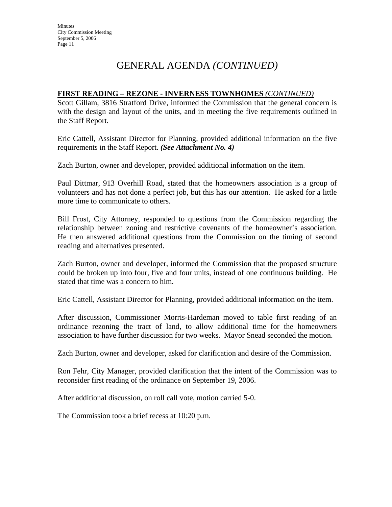### **FIRST READING – REZONE - INVERNESS TOWNHOMES** *(CONTINUED)*

Scott Gillam, 3816 Stratford Drive, informed the Commission that the general concern is with the design and layout of the units, and in meeting the five requirements outlined in the Staff Report.

Eric Cattell, Assistant Director for Planning, provided additional information on the five requirements in the Staff Report. *(See Attachment No. 4)* 

Zach Burton, owner and developer, provided additional information on the item.

Paul Dittmar, 913 Overhill Road, stated that the homeowners association is a group of volunteers and has not done a perfect job, but this has our attention. He asked for a little more time to communicate to others.

Bill Frost, City Attorney, responded to questions from the Commission regarding the relationship between zoning and restrictive covenants of the homeowner's association. He then answered additional questions from the Commission on the timing of second reading and alternatives presented.

Zach Burton, owner and developer, informed the Commission that the proposed structure could be broken up into four, five and four units, instead of one continuous building. He stated that time was a concern to him.

Eric Cattell, Assistant Director for Planning, provided additional information on the item.

After discussion, Commissioner Morris-Hardeman moved to table first reading of an ordinance rezoning the tract of land, to allow additional time for the homeowners association to have further discussion for two weeks. Mayor Snead seconded the motion.

Zach Burton, owner and developer, asked for clarification and desire of the Commission.

Ron Fehr, City Manager, provided clarification that the intent of the Commission was to reconsider first reading of the ordinance on September 19, 2006.

After additional discussion, on roll call vote, motion carried 5-0.

The Commission took a brief recess at 10:20 p.m.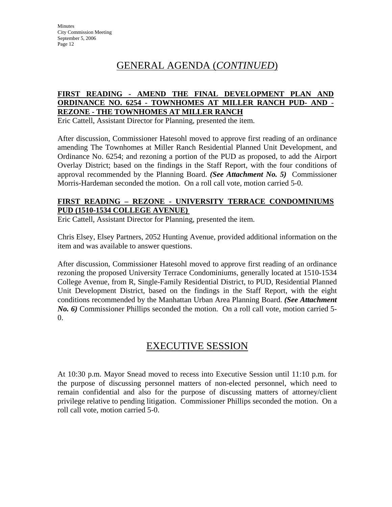### **FIRST READING - AMEND THE FINAL DEVELOPMENT PLAN AND ORDINANCE NO. 6254 - TOWNHOMES AT MILLER RANCH PUD- AND - REZONE - THE TOWNHOMES AT MILLER RANCH**

Eric Cattell, Assistant Director for Planning, presented the item.

After discussion, Commissioner Hatesohl moved to approve first reading of an ordinance amending The Townhomes at Miller Ranch Residential Planned Unit Development, and Ordinance No. 6254; and rezoning a portion of the PUD as proposed, to add the Airport Overlay District; based on the findings in the Staff Report, with the four conditions of approval recommended by the Planning Board. *(See Attachment No. 5)* Commissioner Morris-Hardeman seconded the motion. On a roll call vote, motion carried 5-0.

### **FIRST READING – REZONE - UNIVERSITY TERRACE CONDOMINIUMS PUD (1510-1534 COLLEGE AVENUE)**

Eric Cattell, Assistant Director for Planning, presented the item.

Chris Elsey, Elsey Partners, 2052 Hunting Avenue, provided additional information on the item and was available to answer questions.

After discussion, Commissioner Hatesohl moved to approve first reading of an ordinance rezoning the proposed University Terrace Condominiums, generally located at 1510-1534 College Avenue, from R, Single-Family Residential District, to PUD, Residential Planned Unit Development District, based on the findings in the Staff Report, with the eight conditions recommended by the Manhattan Urban Area Planning Board. *(See Attachment No. 6)* Commissioner Phillips seconded the motion. On a roll call vote, motion carried 5- 0.

# EXECUTIVE SESSION

At 10:30 p.m. Mayor Snead moved to recess into Executive Session until 11:10 p.m. for the purpose of discussing personnel matters of non-elected personnel, which need to remain confidential and also for the purpose of discussing matters of attorney/client privilege relative to pending litigation. Commissioner Phillips seconded the motion. On a roll call vote, motion carried 5-0.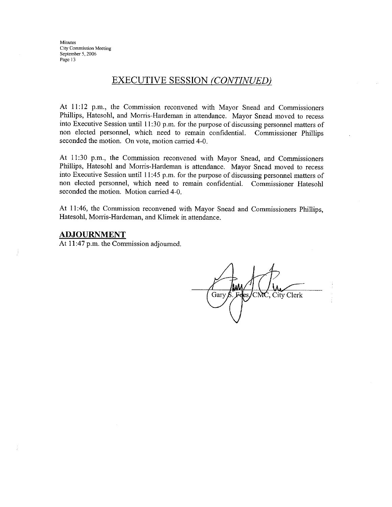## **EXECUTIVE SESSION (CONTINUED)**

At 11:12 p.m., the Commission reconvened with Mayor Snead and Commissioners Phillips, Hatesohl, and Morris-Hardeman in attendance. Mayor Snead moved to recess into Executive Session until 11:30 p.m. for the purpose of discussing personnel matters of non elected personnel, which need to remain confidential. Commissioner Phillips seconded the motion. On vote, motion carried 4-0.

At 11:30 p.m., the Commission reconvened with Mayor Snead, and Commissioners Phillips, Hatesohl and Morris-Hardeman is attendance. Mayor Snead moved to recess into Executive Session until 11:45 p.m. for the purpose of discussing personnel matters of non elected personnel, which need to remain confidential. Commissioner Hatesohl seconded the motion. Motion carried 4-0.

At 11:46, the Commission reconvened with Mayor Snead and Commissioners Phillips, Hatesohl, Morris-Hardeman, and Klimek in attendance.

### **ADJOURNMENT**

At 11:47 p.m. the Commission adjourned.

Gary City Clerk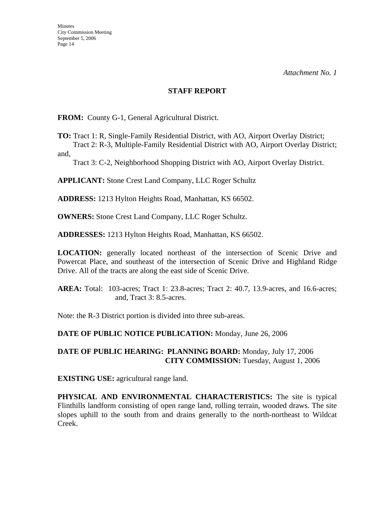#### **STAFF REPORT**

**FROM:** County G-1, General Agricultural District.

**TO:** Tract 1: R, Single-Family Residential District, with AO, Airport Overlay District; Tract 2: R-3, Multiple-Family Residential District with AO, Airport Overlay District;

and,

Tract 3: C-2, Neighborhood Shopping District with AO, Airport Overlay District.

**APPLICANT:** Stone Crest Land Company, LLC Roger Schultz

**ADDRESS:** 1213 Hylton Heights Road, Manhattan, KS 66502.

**OWNERS:** Stone Crest Land Company, LLC Roger Schultz.

**ADDRESSES:** 1213 Hylton Heights Road, Manhattan, KS 66502.

**LOCATION:** generally located northeast of the intersection of Scenic Drive and Powercat Place, and southeast of the intersection of Scenic Drive and Highland Ridge Drive. All of the tracts are along the east side of Scenic Drive.

**AREA:** Total: 103-acres; Tract 1: 23.8-acres; Tract 2: 40.7, 13.9-acres, and 16.6-acres; and, Tract 3: 8.5-acres.

Note: the R-3 District portion is divided into three sub-areas.

**DATE OF PUBLIC NOTICE PUBLICATION:** Monday, June 26, 2006

### **DATE OF PUBLIC HEARING: PLANNING BOARD:** Monday, July 17, 2006 **CITY COMMISSION:** Tuesday, August 1, 2006

**EXISTING USE:** agricultural range land.

**PHYSICAL AND ENVIRONMENTAL CHARACTERISTICS:** The site is typical Flinthills landform consisting of open range land, rolling terrain, wooded draws. The site slopes uphill to the south from and drains generally to the north-northeast to Wildcat Creek.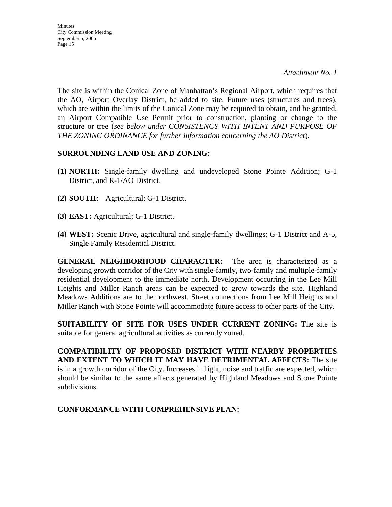**Minutes** City Commission Meeting September 5, 2006 Page 15

The site is within the Conical Zone of Manhattan's Regional Airport, which requires that the AO, Airport Overlay District, be added to site. Future uses (structures and trees), which are within the limits of the Conical Zone may be required to obtain, and be granted, an Airport Compatible Use Permit prior to construction, planting or change to the structure or tree (*see below under CONSISTENCY WITH INTENT AND PURPOSE OF THE ZONING ORDINANCE for further information concerning the AO District*).

### **SURROUNDING LAND USE AND ZONING:**

- **(1) NORTH:** Single-family dwelling and undeveloped Stone Pointe Addition; G-1 District, and R-1/AO District.
- **(2) SOUTH:** Agricultural; G-1 District.
- **(3) EAST:** Agricultural; G-1 District.
- **(4) WEST:** Scenic Drive, agricultural and single-family dwellings; G-1 District and A-5, Single Family Residential District.

**GENERAL NEIGHBORHOOD CHARACTER:** The area is characterized as a developing growth corridor of the City with single-family, two-family and multiple-family residential development to the immediate north. Development occurring in the Lee Mill Heights and Miller Ranch areas can be expected to grow towards the site. Highland Meadows Additions are to the northwest. Street connections from Lee Mill Heights and Miller Ranch with Stone Pointe will accommodate future access to other parts of the City.

**SUITABILITY OF SITE FOR USES UNDER CURRENT ZONING:** The site is suitable for general agricultural activities as currently zoned.

**COMPATIBILITY OF PROPOSED DISTRICT WITH NEARBY PROPERTIES AND EXTENT TO WHICH IT MAY HAVE DETRIMENTAL AFFECTS:** The site is in a growth corridor of the City. Increases in light, noise and traffic are expected, which should be similar to the same affects generated by Highland Meadows and Stone Pointe subdivisions.

### **CONFORMANCE WITH COMPREHENSIVE PLAN:**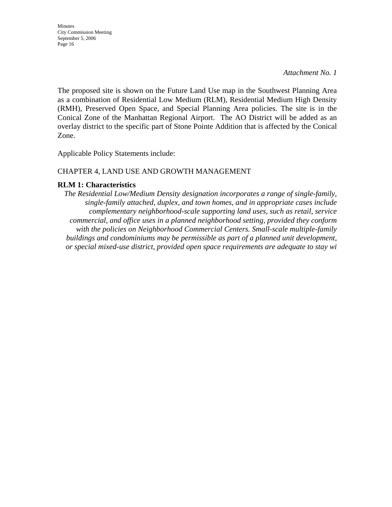*Attachment No. 1*

The proposed site is shown on the Future Land Use map in the Southwest Planning Area as a combination of Residential Low Medium (RLM), Residential Medium High Density (RMH), Preserved Open Space, and Special Planning Area policies. The site is in the Conical Zone of the Manhattan Regional Airport. The AO District will be added as an overlay district to the specific part of Stone Pointe Addition that is affected by the Conical Zone.

Applicable Policy Statements include:

## CHAPTER 4, LAND USE AND GROWTH MANAGEMENT

## **RLM 1: Characteristics**

*The Residential Low/Medium Density designation incorporates a range of single-family, single-family attached, duplex, and town homes, and in appropriate cases include complementary neighborhood-scale supporting land uses, such as retail, service commercial, and office uses in a planned neighborhood setting, provided they conform with the policies on Neighborhood Commercial Centers. Small-scale multiple-family buildings and condominiums may be permissible as part of a planned unit development, or special mixed-use district, provided open space requirements are adequate to stay wi*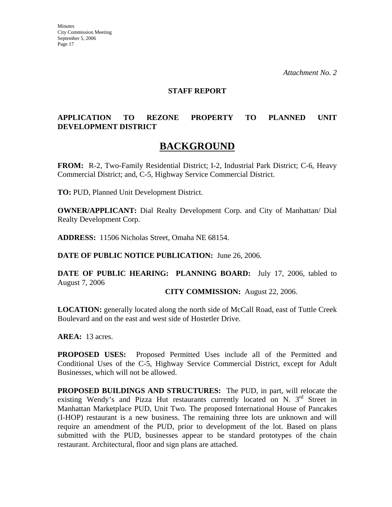#### **STAFF REPORT**

## **APPLICATION TO REZONE PROPERTY TO PLANNED UNIT DEVELOPMENT DISTRICT**

## **BACKGROUND**

**FROM:** R-2, Two-Family Residential District; I-2, Industrial Park District; C-6, Heavy Commercial District; and, C-5, Highway Service Commercial District.

**TO:** PUD, Planned Unit Development District.

**OWNER/APPLICANT:** Dial Realty Development Corp. and City of Manhattan/ Dial Realty Development Corp.

**ADDRESS:** 11506 Nicholas Street, Omaha NE 68154.

**DATE OF PUBLIC NOTICE PUBLICATION:** June 26, 2006.

**DATE OF PUBLIC HEARING: PLANNING BOARD:** July 17, 2006, tabled to August 7, 2006

#### **CITY COMMISSION:** August 22, 2006.

**LOCATION:** generally located along the north side of McCall Road, east of Tuttle Creek Boulevard and on the east and west side of Hostetler Drive.

**AREA:** 13 acres.

**PROPOSED USES:** Proposed Permitted Uses include all of the Permitted and Conditional Uses of the C-5, Highway Service Commercial District, except for Adult Businesses, which will not be allowed.

**PROPOSED BUILDINGS AND STRUCTURES:** The PUD, in part, will relocate the existing Wendy's and Pizza Hut restaurants currently located on N. 3<sup>rd</sup> Street in Manhattan Marketplace PUD, Unit Two. The proposed International House of Pancakes (I-HOP) restaurant is a new business. The remaining three lots are unknown and will require an amendment of the PUD, prior to development of the lot. Based on plans submitted with the PUD, businesses appear to be standard prototypes of the chain restaurant. Architectural, floor and sign plans are attached.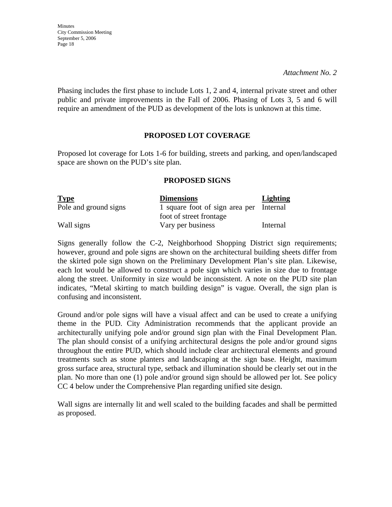*Attachment No. 2* 

Phasing includes the first phase to include Lots 1, 2 and 4, internal private street and other public and private improvements in the Fall of 2006. Phasing of Lots 3, 5 and 6 will require an amendment of the PUD as development of the lots is unknown at this time.

### **PROPOSED LOT COVERAGE**

Proposed lot coverage for Lots 1-6 for building, streets and parking, and open/landscaped space are shown on the PUD's site plan.

### **PROPOSED SIGNS**

| <b>Type</b>           | <b>Dimensions</b>                       | <b>Lighting</b> |
|-----------------------|-----------------------------------------|-----------------|
| Pole and ground signs | 1 square foot of sign area per Internal |                 |
|                       | foot of street frontage                 |                 |
| Wall signs            | Vary per business                       | Internal        |

Signs generally follow the C-2, Neighborhood Shopping District sign requirements; however, ground and pole signs are shown on the architectural building sheets differ from the skirted pole sign shown on the Preliminary Development Plan's site plan. Likewise, each lot would be allowed to construct a pole sign which varies in size due to frontage along the street. Uniformity in size would be inconsistent. A note on the PUD site plan indicates, "Metal skirting to match building design" is vague. Overall, the sign plan is confusing and inconsistent.

Ground and/or pole signs will have a visual affect and can be used to create a unifying theme in the PUD. City Administration recommends that the applicant provide an architecturally unifying pole and/or ground sign plan with the Final Development Plan. The plan should consist of a unifying architectural designs the pole and/or ground signs throughout the entire PUD, which should include clear architectural elements and ground treatments such as stone planters and landscaping at the sign base. Height, maximum gross surface area, structural type, setback and illumination should be clearly set out in the plan. No more than one (1) pole and/or ground sign should be allowed per lot. See policy CC 4 below under the Comprehensive Plan regarding unified site design.

Wall signs are internally lit and well scaled to the building facades and shall be permitted as proposed.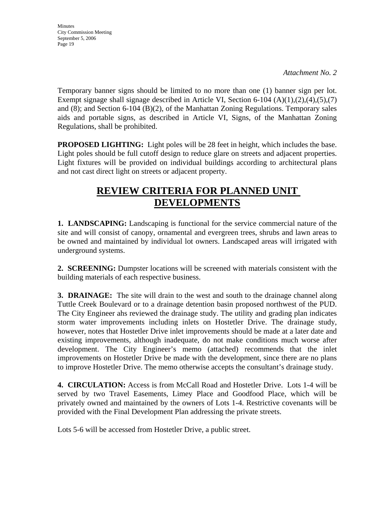*Attachment No. 2* 

Temporary banner signs should be limited to no more than one (1) banner sign per lot. Exempt signage shall signage described in Article VI, Section 6-104 (A)(1),(2),(4),(5),(7) and (8); and Section 6-104 (B)(2), of the Manhattan Zoning Regulations. Temporary sales aids and portable signs, as described in Article VI, Signs, of the Manhattan Zoning Regulations, shall be prohibited.

**PROPOSED LIGHTING:** Light poles will be 28 feet in height, which includes the base. Light poles should be full cutoff design to reduce glare on streets and adjacent properties. Light fixtures will be provided on individual buildings according to architectural plans and not cast direct light on streets or adjacent property.

# **REVIEW CRITERIA FOR PLANNED UNIT DEVELOPMENTS**

**1. LANDSCAPING:** Landscaping is functional for the service commercial nature of the site and will consist of canopy, ornamental and evergreen trees, shrubs and lawn areas to be owned and maintained by individual lot owners. Landscaped areas will irrigated with underground systems.

**2. SCREENING:** Dumpster locations will be screened with materials consistent with the building materials of each respective business.

**3. DRAINAGE:** The site will drain to the west and south to the drainage channel along Tuttle Creek Boulevard or to a drainage detention basin proposed northwest of the PUD. The City Engineer ahs reviewed the drainage study. The utility and grading plan indicates storm water improvements including inlets on Hostetler Drive. The drainage study, however, notes that Hostetler Drive inlet improvements should be made at a later date and existing improvements, although inadequate, do not make conditions much worse after development. The City Engineer's memo (attached) recommends that the inlet improvements on Hostetler Drive be made with the development, since there are no plans to improve Hostetler Drive. The memo otherwise accepts the consultant's drainage study.

**4. CIRCULATION:** Access is from McCall Road and Hostetler Drive. Lots 1-4 will be served by two Travel Easements, Limey Place and Goodfood Place, which will be privately owned and maintained by the owners of Lots 1-4. Restrictive covenants will be provided with the Final Development Plan addressing the private streets.

Lots 5-6 will be accessed from Hostetler Drive, a public street.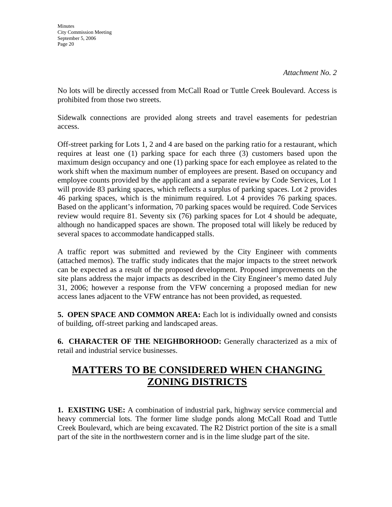No lots will be directly accessed from McCall Road or Tuttle Creek Boulevard. Access is prohibited from those two streets.

Sidewalk connections are provided along streets and travel easements for pedestrian access.

Off-street parking for Lots 1, 2 and 4 are based on the parking ratio for a restaurant, which requires at least one (1) parking space for each three (3) customers based upon the maximum design occupancy and one (1) parking space for each employee as related to the work shift when the maximum number of employees are present. Based on occupancy and employee counts provided by the applicant and a separate review by Code Services, Lot 1 will provide 83 parking spaces, which reflects a surplus of parking spaces. Lot 2 provides 46 parking spaces, which is the minimum required. Lot 4 provides 76 parking spaces. Based on the applicant's information, 70 parking spaces would be required. Code Services review would require 81. Seventy six (76) parking spaces for Lot 4 should be adequate, although no handicapped spaces are shown. The proposed total will likely be reduced by several spaces to accommodate handicapped stalls.

A traffic report was submitted and reviewed by the City Engineer with comments (attached memos). The traffic study indicates that the major impacts to the street network can be expected as a result of the proposed development. Proposed improvements on the site plans address the major impacts as described in the City Engineer's memo dated July 31, 2006; however a response from the VFW concerning a proposed median for new access lanes adjacent to the VFW entrance has not been provided, as requested.

**5. OPEN SPACE AND COMMON AREA:** Each lot is individually owned and consists of building, off-street parking and landscaped areas.

**6. CHARACTER OF THE NEIGHBORHOOD:** Generally characterized as a mix of retail and industrial service businesses.

# **MATTERS TO BE CONSIDERED WHEN CHANGING ZONING DISTRICTS**

**1. EXISTING USE:** A combination of industrial park, highway service commercial and heavy commercial lots. The former lime sludge ponds along McCall Road and Tuttle Creek Boulevard, which are being excavated. The R2 District portion of the site is a small part of the site in the northwestern corner and is in the lime sludge part of the site.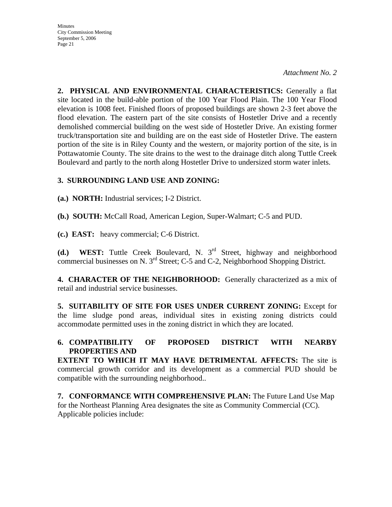*Attachment No. 2* 

**2. PHYSICAL AND ENVIRONMENTAL CHARACTERISTICS:** Generally a flat site located in the build-able portion of the 100 Year Flood Plain. The 100 Year Flood elevation is 1008 feet. Finished floors of proposed buildings are shown 2-3 feet above the flood elevation. The eastern part of the site consists of Hostetler Drive and a recently demolished commercial building on the west side of Hostetler Drive. An existing former truck/transportation site and building are on the east side of Hostetler Drive. The eastern portion of the site is in Riley County and the western, or majority portion of the site, is in Pottawatomie County. The site drains to the west to the drainage ditch along Tuttle Creek Boulevard and partly to the north along Hostetler Drive to undersized storm water inlets.

## **3. SURROUNDING LAND USE AND ZONING:**

**(a.) NORTH:** Industrial services; I-2 District.

**(b.) SOUTH:** McCall Road, American Legion, Super-Walmart; C-5 and PUD.

**(c.) EAST:** heavy commercial; C-6 District.

**(d.) WEST:** Tuttle Creek Boulevard, N. 3rd Street, highway and neighborhood commercial businesses on N. 3rd Street; C-5 and C-2, Neighborhood Shopping District.

**4. CHARACTER OF THE NEIGHBORHOOD:** Generally characterized as a mix of retail and industrial service businesses.

**5. SUITABILITY OF SITE FOR USES UNDER CURRENT ZONING:** Except for the lime sludge pond areas, individual sites in existing zoning districts could accommodate permitted uses in the zoning district in which they are located.

## **6. COMPATIBILITY OF PROPOSED DISTRICT WITH NEARBY PROPERTIES AND**

**EXTENT TO WHICH IT MAY HAVE DETRIMENTAL AFFECTS:** The site is commercial growth corridor and its development as a commercial PUD should be compatible with the surrounding neighborhood..

**7. CONFORMANCE WITH COMPREHENSIVE PLAN:** The Future Land Use Map for the Northeast Planning Area designates the site as Community Commercial (CC). Applicable policies include: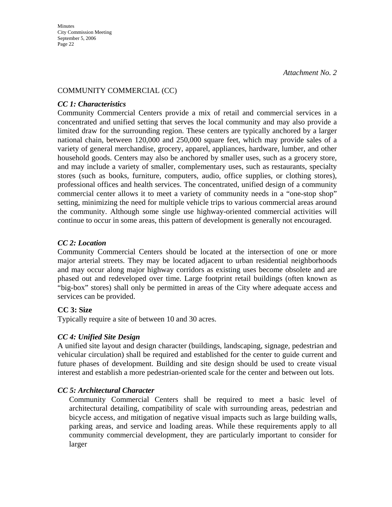### COMMUNITY COMMERCIAL (CC)

### *CC 1: Characteristics*

Community Commercial Centers provide a mix of retail and commercial services in a concentrated and unified setting that serves the local community and may also provide a limited draw for the surrounding region. These centers are typically anchored by a larger national chain, between 120,000 and 250,000 square feet, which may provide sales of a variety of general merchandise, grocery, apparel, appliances, hardware, lumber, and other household goods. Centers may also be anchored by smaller uses, such as a grocery store, and may include a variety of smaller, complementary uses, such as restaurants, specialty stores (such as books, furniture, computers, audio, office supplies, or clothing stores), professional offices and health services. The concentrated, unified design of a community commercial center allows it to meet a variety of community needs in a "one-stop shop" setting, minimizing the need for multiple vehicle trips to various commercial areas around the community. Although some single use highway-oriented commercial activities will continue to occur in some areas, this pattern of development is generally not encouraged.

## *CC 2: Location*

Community Commercial Centers should be located at the intersection of one or more major arterial streets. They may be located adjacent to urban residential neighborhoods and may occur along major highway corridors as existing uses become obsolete and are phased out and redeveloped over time. Large footprint retail buildings (often known as "big-box" stores) shall only be permitted in areas of the City where adequate access and services can be provided.

### **CC 3: Size**

Typically require a site of between 10 and 30 acres.

## *CC 4: Unified Site Design*

A unified site layout and design character (buildings, landscaping, signage, pedestrian and vehicular circulation) shall be required and established for the center to guide current and future phases of development. Building and site design should be used to create visual interest and establish a more pedestrian-oriented scale for the center and between out lots.

### *CC 5: Architectural Character*

Community Commercial Centers shall be required to meet a basic level of architectural detailing, compatibility of scale with surrounding areas, pedestrian and bicycle access, and mitigation of negative visual impacts such as large building walls, parking areas, and service and loading areas. While these requirements apply to all community commercial development, they are particularly important to consider for larger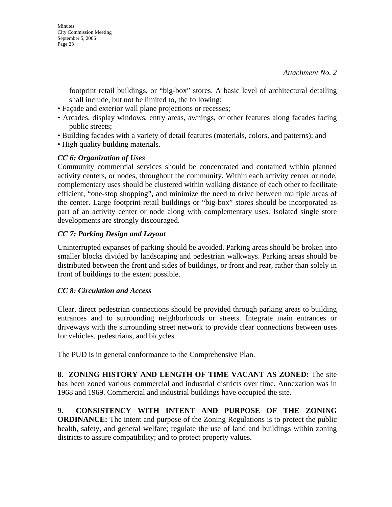**Minutes** City Commission Meeting September 5, 2006 Page 23

> footprint retail buildings, or "big-box" stores. A basic level of architectural detailing shall include, but not be limited to, the following:

- Façade and exterior wall plane projections or recesses;
- Arcades, display windows, entry areas, awnings, or other features along facades facing public streets;
- Building facades with a variety of detail features (materials, colors, and patterns); and
- High quality building materials.

## *CC 6: Organization of Uses*

Community commercial services should be concentrated and contained within planned activity centers, or nodes, throughout the community. Within each activity center or node, complementary uses should be clustered within walking distance of each other to facilitate efficient, "one-stop shopping", and minimize the need to drive between multiple areas of the center. Large footprint retail buildings or "big-box" stores should be incorporated as part of an activity center or node along with complementary uses. Isolated single store developments are strongly discouraged.

## *CC 7: Parking Design and Layout*

Uninterrupted expanses of parking should be avoided. Parking areas should be broken into smaller blocks divided by landscaping and pedestrian walkways. Parking areas should be distributed between the front and sides of buildings, or front and rear, rather than solely in front of buildings to the extent possible.

## *CC 8: Circulation and Access*

Clear, direct pedestrian connections should be provided through parking areas to building entrances and to surrounding neighborhoods or streets. Integrate main entrances or driveways with the surrounding street network to provide clear connections between uses for vehicles, pedestrians, and bicycles.

The PUD is in general conformance to the Comprehensive Plan.

**8. ZONING HISTORY AND LENGTH OF TIME VACANT AS ZONED:** The site has been zoned various commercial and industrial districts over time. Annexation was in 1968 and 1969. Commercial and industrial buildings have occupied the site.

**9. CONSISTENCY WITH INTENT AND PURPOSE OF THE ZONING ORDINANCE:** The intent and purpose of the Zoning Regulations is to protect the public health, safety, and general welfare; regulate the use of land and buildings within zoning districts to assure compatibility; and to protect property values.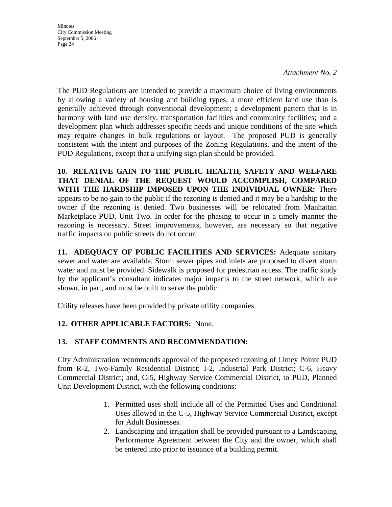**Minutes** City Commission Meeting September 5, 2006 Page 24

The PUD Regulations are intended to provide a maximum choice of living environments by allowing a variety of housing and building types; a more efficient land use than is generally achieved through conventional development; a development pattern that is in harmony with land use density, transportation facilities and community facilities; and a development plan which addresses specific needs and unique conditions of the site which may require changes in bulk regulations or layout. The proposed PUD is generally consistent with the intent and purposes of the Zoning Regulations, and the intent of the PUD Regulations, except that a unifying sign plan should be provided.

**10. RELATIVE GAIN TO THE PUBLIC HEALTH, SAFETY AND WELFARE THAT DENIAL OF THE REQUEST WOULD ACCOMPLISH, COMPARED WITH THE HARDSHIP IMPOSED UPON THE INDIVIDUAL OWNER:** There appears to be no gain to the public if the rezoning is denied and it may be a hardship to the owner if the rezoning is denied. Two businesses will be relocated from Manhattan Marketplace PUD, Unit Two. In order for the phasing to occur in a timely manner the rezoning is necessary. Street improvements, however, are necessary so that negative traffic impacts on public streets do not occur.

**11. ADEQUACY OF PUBLIC FACILITIES AND SERVICES:** Adequate sanitary sewer and water are available. Storm sewer pipes and inlets are proposed to divert storm water and must be provided. Sidewalk is proposed for pedestrian access. The traffic study by the applicant's consultant indicates major impacts to the street network, which are shown, in part, and must be built to serve the public.

Utility releases have been provided by private utility companies.

## **12. OTHER APPLICABLE FACTORS:** None.

### **13. STAFF COMMENTS AND RECOMMENDATION:**

City Administration recommends approval of the proposed rezoning of Limey Pointe PUD from R-2, Two-Family Residential District; I-2, Industrial Park District; C-6, Heavy Commercial District; and, C-5, Highway Service Commercial District, to PUD, Planned Unit Development District, with the following conditions:

- 1. Permitted uses shall include all of the Permitted Uses and Conditional Uses allowed in the C-5, Highway Service Commercial District, except for Adult Businesses.
- 2. Landscaping and irrigation shall be provided pursuant to a Landscaping Performance Agreement between the City and the owner, which shall be entered into prior to issuance of a building permit.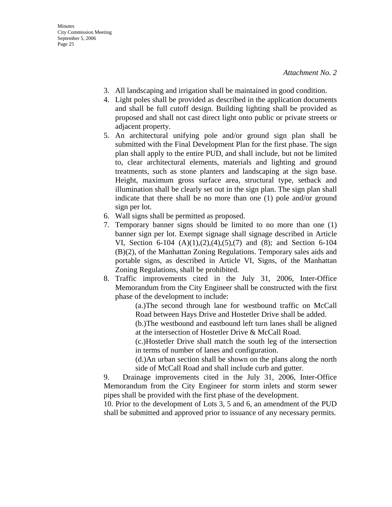**Minutes** City Commission Meeting September 5, 2006 Page 25

- 3. All landscaping and irrigation shall be maintained in good condition.
- 4. Light poles shall be provided as described in the application documents and shall be full cutoff design. Building lighting shall be provided as proposed and shall not cast direct light onto public or private streets or adjacent property.
- 5. An architectural unifying pole and/or ground sign plan shall be submitted with the Final Development Plan for the first phase. The sign plan shall apply to the entire PUD, and shall include, but not be limited to, clear architectural elements, materials and lighting and ground treatments, such as stone planters and landscaping at the sign base. Height, maximum gross surface area, structural type, setback and illumination shall be clearly set out in the sign plan. The sign plan shall indicate that there shall be no more than one (1) pole and/or ground sign per lot.
- 6. Wall signs shall be permitted as proposed.
- 7. Temporary banner signs should be limited to no more than one (1) banner sign per lot. Exempt signage shall signage described in Article VI, Section 6-104 (A)(1),(2),(4),(5),(7) and (8); and Section 6-104 (B)(2), of the Manhattan Zoning Regulations. Temporary sales aids and portable signs, as described in Article VI, Signs, of the Manhattan Zoning Regulations, shall be prohibited.
- 8. Traffic improvements cited in the July 31, 2006, Inter-Office Memorandum from the City Engineer shall be constructed with the first phase of the development to include:

(a.)The second through lane for westbound traffic on McCall Road between Hays Drive and Hostetler Drive shall be added.

(b.)The westbound and eastbound left turn lanes shall be aligned at the intersection of Hostetler Drive & McCall Road.

(c.)Hostetler Drive shall match the south leg of the intersection in terms of number of lanes and configuration.

(d.)An urban section shall be shown on the plans along the north side of McCall Road and shall include curb and gutter.

9. Drainage improvements cited in the July 31, 2006, Inter-Office Memorandum from the City Engineer for storm inlets and storm sewer pipes shall be provided with the first phase of the development.

10. Prior to the development of Lots 3, 5 and 6, an amendment of the PUD shall be submitted and approved prior to issuance of any necessary permits.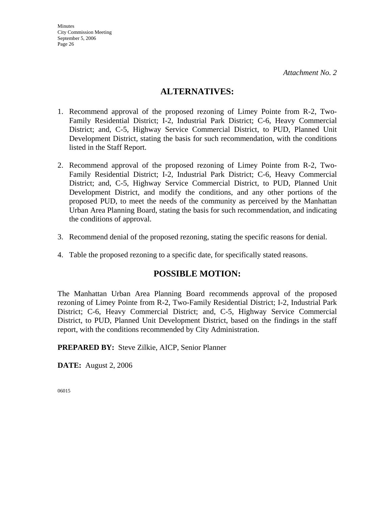## **ALTERNATIVES:**

- 1. Recommend approval of the proposed rezoning of Limey Pointe from R-2, Two-Family Residential District; I-2, Industrial Park District; C-6, Heavy Commercial District; and, C-5, Highway Service Commercial District, to PUD, Planned Unit Development District, stating the basis for such recommendation, with the conditions listed in the Staff Report.
- 2. Recommend approval of the proposed rezoning of Limey Pointe from R-2, Two-Family Residential District; I-2, Industrial Park District; C-6, Heavy Commercial District; and, C-5, Highway Service Commercial District, to PUD, Planned Unit Development District, and modify the conditions, and any other portions of the proposed PUD, to meet the needs of the community as perceived by the Manhattan Urban Area Planning Board, stating the basis for such recommendation, and indicating the conditions of approval.
- 3. Recommend denial of the proposed rezoning, stating the specific reasons for denial.
- 4. Table the proposed rezoning to a specific date, for specifically stated reasons.

## **POSSIBLE MOTION:**

The Manhattan Urban Area Planning Board recommends approval of the proposed rezoning of Limey Pointe from R-2, Two-Family Residential District; I-2, Industrial Park District; C-6, Heavy Commercial District; and, C-5, Highway Service Commercial District, to PUD, Planned Unit Development District, based on the findings in the staff report, with the conditions recommended by City Administration.

**PREPARED BY:** Steve Zilkie, AICP, Senior Planner

**DATE:** August 2, 2006

06015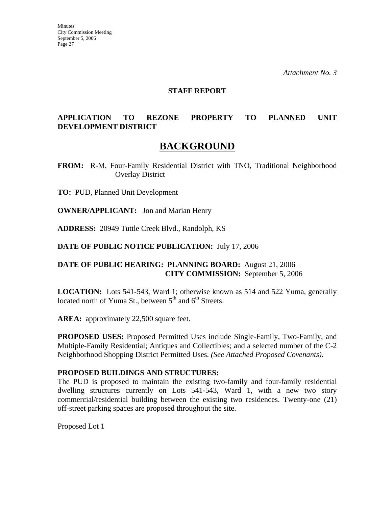*Attachment No. 3* 

### **STAFF REPORT**

## **APPLICATION TO REZONE PROPERTY TO PLANNED UNIT DEVELOPMENT DISTRICT**

# **BACKGROUND**

**FROM:** R-M, Four-Family Residential District with TNO, Traditional Neighborhood Overlay District

**TO:** PUD, Planned Unit Development

**OWNER/APPLICANT:** Jon and Marian Henry

**ADDRESS:** 20949 Tuttle Creek Blvd., Randolph, KS

**DATE OF PUBLIC NOTICE PUBLICATION:** July 17, 2006

### **DATE OF PUBLIC HEARING: PLANNING BOARD:** August 21, 2006 **CITY COMMISSION:** September 5, 2006

**LOCATION:** Lots 541-543, Ward 1; otherwise known as 514 and 522 Yuma, generally located north of Yuma St., between  $5<sup>th</sup>$  and  $6<sup>th</sup>$  Streets.

AREA: approximately 22,500 square feet.

**PROPOSED USES:** Proposed Permitted Uses include Single-Family, Two-Family, and Multiple-Family Residential; Antiques and Collectibles; and a selected number of the C-2 Neighborhood Shopping District Permitted Uses. *(See Attached Proposed Covenants).*

### **PROPOSED BUILDINGS AND STRUCTURES:**

The PUD is proposed to maintain the existing two-family and four-family residential dwelling structures currently on Lots 541-543, Ward 1, with a new two story commercial/residential building between the existing two residences. Twenty-one (21) off-street parking spaces are proposed throughout the site.

Proposed Lot 1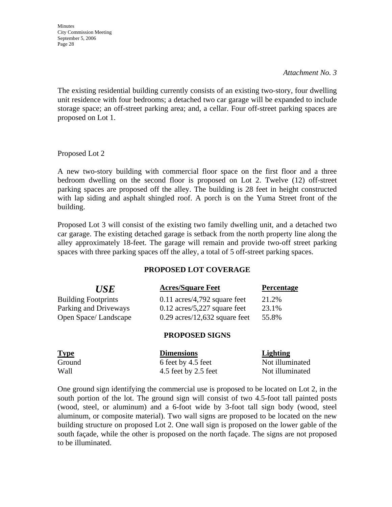#### *Attachment No. 3*

The existing residential building currently consists of an existing two-story, four dwelling unit residence with four bedrooms; a detached two car garage will be expanded to include storage space; an off-street parking area; and, a cellar. Four off-street parking spaces are proposed on Lot 1.

Proposed Lot 2

A new two-story building with commercial floor space on the first floor and a three bedroom dwelling on the second floor is proposed on Lot 2. Twelve (12) off-street parking spaces are proposed off the alley. The building is 28 feet in height constructed with lap siding and asphalt shingled roof. A porch is on the Yuma Street front of the building.

Proposed Lot 3 will consist of the existing two family dwelling unit, and a detached two car garage. The existing detached garage is setback from the north property line along the alley approximately 18-feet. The garage will remain and provide two-off street parking spaces with three parking spaces off the alley, a total of 5 off-street parking spaces.

### **PROPOSED LOT COVERAGE**

| <i>USE</i>                 | <b>Acres/Square Feet</b>        | <b>Percentage</b> |
|----------------------------|---------------------------------|-------------------|
| <b>Building Footprints</b> | $0.11$ acres/4,792 square feet  | 21.2%             |
| Parking and Driveways      | $0.12$ acres/5,227 square feet  | 23.1%             |
| Open Space/Landscape       | $0.29$ acres/12,632 square feet | 55.8%             |

### **PROPOSED SIGNS**

| <b>Type</b> | <b>Dimensions</b>    | <b>Lighting</b> |
|-------------|----------------------|-----------------|
| Ground      | 6 feet by 4.5 feet   | Not illuminated |
| Wall        | 4.5 feet by 2.5 feet | Not illuminated |

One ground sign identifying the commercial use is proposed to be located on Lot 2, in the south portion of the lot. The ground sign will consist of two 4.5-foot tall painted posts (wood, steel, or aluminum) and a 6-foot wide by 3-foot tall sign body (wood, steel aluminum, or composite material). Two wall signs are proposed to be located on the new building structure on proposed Lot 2. One wall sign is proposed on the lower gable of the south façade, while the other is proposed on the north façade. The signs are not proposed to be illuminated.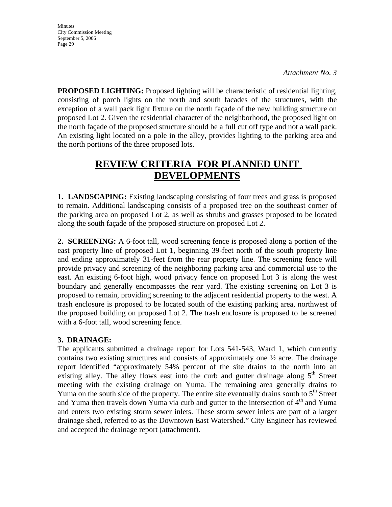**Minutes** City Commission Meeting September 5, 2006 Page 29

**PROPOSED LIGHTING:** Proposed lighting will be characteristic of residential lighting, consisting of porch lights on the north and south facades of the structures, with the exception of a wall pack light fixture on the north façade of the new building structure on proposed Lot 2. Given the residential character of the neighborhood, the proposed light on the north façade of the proposed structure should be a full cut off type and not a wall pack. An existing light located on a pole in the alley, provides lighting to the parking area and the north portions of the three proposed lots.

# **REVIEW CRITERIA FOR PLANNED UNIT DEVELOPMENTS**

**1. LANDSCAPING:** Existing landscaping consisting of four trees and grass is proposed to remain. Additional landscaping consists of a proposed tree on the southeast corner of the parking area on proposed Lot 2, as well as shrubs and grasses proposed to be located along the south façade of the proposed structure on proposed Lot 2.

**2. SCREENING:** A 6-foot tall, wood screening fence is proposed along a portion of the east property line of proposed Lot 1, beginning 39-feet north of the south property line and ending approximately 31-feet from the rear property line. The screening fence will provide privacy and screening of the neighboring parking area and commercial use to the east. An existing 6-foot high, wood privacy fence on proposed Lot 3 is along the west boundary and generally encompasses the rear yard. The existing screening on Lot 3 is proposed to remain, providing screening to the adjacent residential property to the west. A trash enclosure is proposed to be located south of the existing parking area, northwest of the proposed building on proposed Lot 2. The trash enclosure is proposed to be screened with a 6-foot tall, wood screening fence.

### **3. DRAINAGE:**

The applicants submitted a drainage report for Lots 541-543, Ward 1, which currently contains two existing structures and consists of approximately one ½ acre. The drainage report identified "approximately 54% percent of the site drains to the north into an existing alley. The alley flows east into the curb and gutter drainage along  $5<sup>th</sup>$  Street meeting with the existing drainage on Yuma. The remaining area generally drains to Yuma on the south side of the property. The entire site eventually drains south to  $5<sup>th</sup>$  Street and Yuma then travels down Yuma via curb and gutter to the intersection of 4<sup>th</sup> and Yuma and enters two existing storm sewer inlets. These storm sewer inlets are part of a larger drainage shed, referred to as the Downtown East Watershed." City Engineer has reviewed and accepted the drainage report (attachment).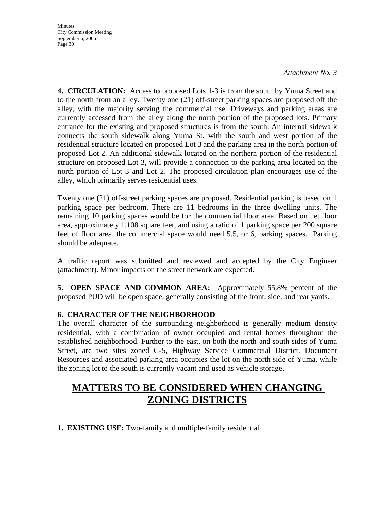*Attachment No. 3* 

**4. CIRCULATION:** Access to proposed Lots 1-3 is from the south by Yuma Street and to the north from an alley. Twenty one (21) off-street parking spaces are proposed off the alley, with the majority serving the commercial use. Driveways and parking areas are currently accessed from the alley along the north portion of the proposed lots. Primary entrance for the existing and proposed structures is from the south. An internal sidewalk connects the south sidewalk along Yuma St. with the south and west portion of the residential structure located on proposed Lot 3 and the parking area in the north portion of proposed Lot 2. An additional sidewalk located on the northern portion of the residential structure on proposed Lot 3, will provide a connection to the parking area located on the north portion of Lot 3 and Lot 2. The proposed circulation plan encourages use of the alley, which primarily serves residential uses.

Twenty one (21) off-street parking spaces are proposed. Residential parking is based on 1 parking space per bedroom. There are 11 bedrooms in the three dwelling units. The remaining 10 parking spaces would be for the commercial floor area. Based on net floor area, approximately 1,108 square feet, and using a ratio of 1 parking space per 200 square feet of floor area, the commercial space would need 5.5, or 6, parking spaces. Parking should be adequate.

A traffic report was submitted and reviewed and accepted by the City Engineer (attachment). Minor impacts on the street network are expected.

**5. OPEN SPACE AND COMMON AREA:** Approximately 55.8% percent of the proposed PUD will be open space, generally consisting of the front, side, and rear yards.

## **6. CHARACTER OF THE NEIGHBORHOOD**

The overall character of the surrounding neighborhood is generally medium density residential, with a combination of owner occupied and rental homes throughout the established neighborhood. Further to the east, on both the north and south sides of Yuma Street, are two sites zoned C-5, Highway Service Commercial District. Document Resources and associated parking area occupies the lot on the north side of Yuma, while the zoning lot to the south is currently vacant and used as vehicle storage.

# **MATTERS TO BE CONSIDERED WHEN CHANGING ZONING DISTRICTS**

**1. EXISTING USE:** Two-family and multiple-family residential.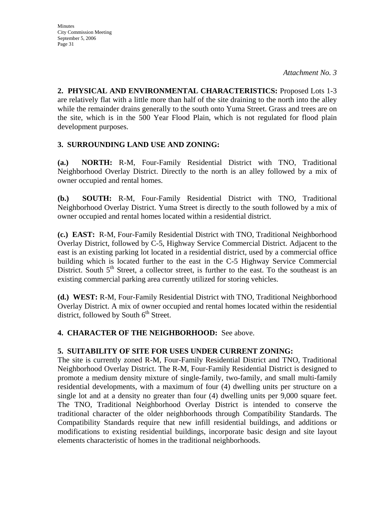**2. PHYSICAL AND ENVIRONMENTAL CHARACTERISTICS:** Proposed Lots 1-3 are relatively flat with a little more than half of the site draining to the north into the alley while the remainder drains generally to the south onto Yuma Street. Grass and trees are on the site, which is in the 500 Year Flood Plain, which is not regulated for flood plain development purposes.

### **3. SURROUNDING LAND USE AND ZONING:**

**(a.) NORTH:** R-M, Four-Family Residential District with TNO, Traditional Neighborhood Overlay District. Directly to the north is an alley followed by a mix of owner occupied and rental homes.

**(b.) SOUTH:** R-M, Four-Family Residential District with TNO, Traditional Neighborhood Overlay District. Yuma Street is directly to the south followed by a mix of owner occupied and rental homes located within a residential district.

**(c.) EAST:** R-M, Four-Family Residential District with TNO, Traditional Neighborhood Overlay District, followed by C-5, Highway Service Commercial District. Adjacent to the east is an existing parking lot located in a residential district, used by a commercial office building which is located further to the east in the C-5 Highway Service Commercial District. South  $5<sup>th</sup>$  Street, a collector street, is further to the east. To the southeast is an existing commercial parking area currently utilized for storing vehicles.

**(d.) WEST:** R-M, Four-Family Residential District with TNO, Traditional Neighborhood Overlay District. A mix of owner occupied and rental homes located within the residential district, followed by South  $6<sup>th</sup>$  Street.

### **4. CHARACTER OF THE NEIGHBORHOOD:** See above.

### **5. SUITABILITY OF SITE FOR USES UNDER CURRENT ZONING:**

The site is currently zoned R-M, Four-Family Residential District and TNO, Traditional Neighborhood Overlay District. The R-M, Four-Family Residential District is designed to promote a medium density mixture of single-family, two-family, and small multi-family residential developments, with a maximum of four (4) dwelling units per structure on a single lot and at a density no greater than four (4) dwelling units per 9,000 square feet. The TNO, Traditional Neighborhood Overlay District is intended to conserve the traditional character of the older neighborhoods through Compatibility Standards. The Compatibility Standards require that new infill residential buildings, and additions or modifications to existing residential buildings, incorporate basic design and site layout elements characteristic of homes in the traditional neighborhoods.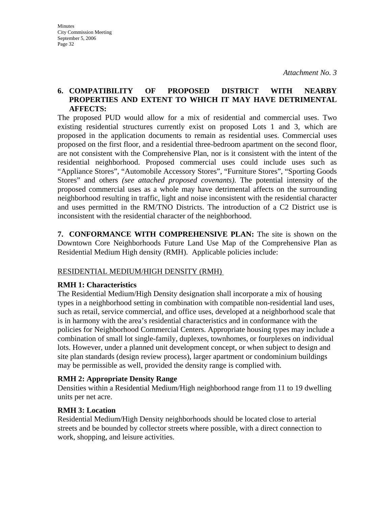## **6. COMPATIBILITY OF PROPOSED DISTRICT WITH NEARBY PROPERTIES AND EXTENT TO WHICH IT MAY HAVE DETRIMENTAL AFFECTS:**

The proposed PUD would allow for a mix of residential and commercial uses. Two existing residential structures currently exist on proposed Lots 1 and 3, which are proposed in the application documents to remain as residential uses. Commercial uses proposed on the first floor, and a residential three-bedroom apartment on the second floor, are not consistent with the Comprehensive Plan, nor is it consistent with the intent of the residential neighborhood. Proposed commercial uses could include uses such as "Appliance Stores", "Automobile Accessory Stores", "Furniture Stores", "Sporting Goods Stores" and others *(see attached proposed covenants)*. The potential intensity of the proposed commercial uses as a whole may have detrimental affects on the surrounding neighborhood resulting in traffic, light and noise inconsistent with the residential character and uses permitted in the RM/TNO Districts. The introduction of a C2 District use is inconsistent with the residential character of the neighborhood.

**7. CONFORMANCE WITH COMPREHENSIVE PLAN:** The site is shown on the Downtown Core Neighborhoods Future Land Use Map of the Comprehensive Plan as Residential Medium High density (RMH). Applicable policies include:

### RESIDENTIAL MEDIUM/HIGH DENSITY (RMH)

### **RMH 1: Characteristics**

The Residential Medium/High Density designation shall incorporate a mix of housing types in a neighborhood setting in combination with compatible non-residential land uses, such as retail, service commercial, and office uses, developed at a neighborhood scale that is in harmony with the area's residential characteristics and in conformance with the policies for Neighborhood Commercial Centers. Appropriate housing types may include a combination of small lot single-family, duplexes, townhomes, or fourplexes on individual lots. However, under a planned unit development concept, or when subject to design and site plan standards (design review process), larger apartment or condominium buildings may be permissible as well, provided the density range is complied with.

### **RMH 2: Appropriate Density Range**

Densities within a Residential Medium/High neighborhood range from 11 to 19 dwelling units per net acre.

## **RMH 3: Location**

Residential Medium/High Density neighborhoods should be located close to arterial streets and be bounded by collector streets where possible, with a direct connection to work, shopping, and leisure activities.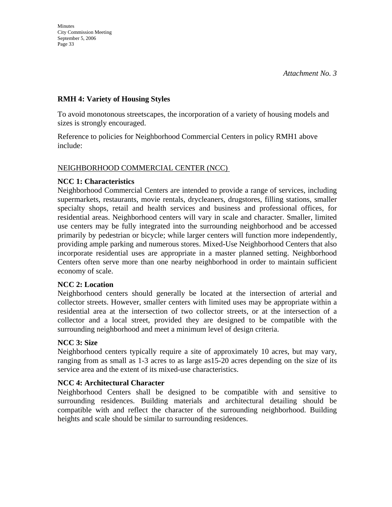### **RMH 4: Variety of Housing Styles**

To avoid monotonous streetscapes, the incorporation of a variety of housing models and sizes is strongly encouraged.

Reference to policies for Neighborhood Commercial Centers in policy RMH1 above include:

### NEIGHBORHOOD COMMERCIAL CENTER (NCC)

### **NCC 1: Characteristics**

Neighborhood Commercial Centers are intended to provide a range of services, including supermarkets, restaurants, movie rentals, drycleaners, drugstores, filling stations, smaller specialty shops, retail and health services and business and professional offices, for residential areas. Neighborhood centers will vary in scale and character. Smaller, limited use centers may be fully integrated into the surrounding neighborhood and be accessed primarily by pedestrian or bicycle; while larger centers will function more independently, providing ample parking and numerous stores. Mixed-Use Neighborhood Centers that also incorporate residential uses are appropriate in a master planned setting. Neighborhood Centers often serve more than one nearby neighborhood in order to maintain sufficient economy of scale.

### **NCC 2: Location**

Neighborhood centers should generally be located at the intersection of arterial and collector streets. However, smaller centers with limited uses may be appropriate within a residential area at the intersection of two collector streets, or at the intersection of a collector and a local street, provided they are designed to be compatible with the surrounding neighborhood and meet a minimum level of design criteria.

### **NCC 3: Size**

Neighborhood centers typically require a site of approximately 10 acres, but may vary, ranging from as small as 1-3 acres to as large as15-20 acres depending on the size of its service area and the extent of its mixed-use characteristics.

### **NCC 4: Architectural Character**

Neighborhood Centers shall be designed to be compatible with and sensitive to surrounding residences. Building materials and architectural detailing should be compatible with and reflect the character of the surrounding neighborhood. Building heights and scale should be similar to surrounding residences.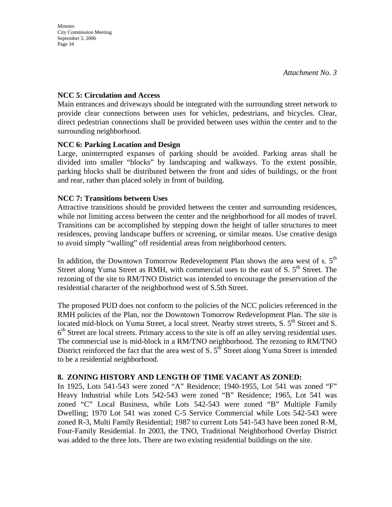### **NCC 5: Circulation and Access**

Main entrances and driveways should be integrated with the surrounding street network to provide clear connections between uses for vehicles, pedestrians, and bicycles. Clear, direct pedestrian connections shall be provided between uses within the center and to the surrounding neighborhood.

### **NCC 6: Parking Location and Design**

Large, uninterrupted expanses of parking should be avoided. Parking areas shall be divided into smaller "blocks" by landscaping and walkways. To the extent possible, parking blocks shall be distributed between the front and sides of buildings, or the front and rear, rather than placed solely in front of building.

### **NCC 7: Transitions between Uses**

Attractive transitions should be provided between the center and surrounding residences, while not limiting access between the center and the neighborhood for all modes of travel. Transitions can be accomplished by stepping down the height of taller structures to meet residences, proving landscape buffers or screening, or similar means. Use creative design to avoid simply "walling" off residential areas from neighborhood centers.

In addition, the Downtown Tomorrow Redevelopment Plan shows the area west of s.  $5<sup>th</sup>$ Street along Yuma Street as RMH, with commercial uses to the east of S.  $5<sup>th</sup>$  Street. The rezoning of the site to RM/TNO District was intended to encourage the preservation of the residential character of the neighborhood west of S.5th Street.

The proposed PUD does not conform to the policies of the NCC policies referenced in the RMH policies of the Plan, nor the Downtown Tomorrow Redevelopment Plan. The site is located mid-block on Yuma Street, a local street. Nearby street streets, S. 5<sup>th</sup> Street and S.  $6<sup>th</sup>$  Street are local streets. Primary access to the site is off an alley serving residential uses. The commercial use is mid-block in a RM/TNO neighborhood. The rezoning to RM/TNO District reinforced the fact that the area west of S.  $5<sup>th</sup>$  Street along Yuma Street is intended to be a residential neighborhood.

### **8. ZONING HISTORY AND LENGTH OF TIME VACANT AS ZONED:**

In 1925, Lots 541-543 were zoned "A" Residence; 1940-1955, Lot 541 was zoned "F" Heavy Industrial while Lots 542-543 were zoned "B" Residence; 1965, Lot 541 was zoned "C" Local Business, while Lots 542-543 were zoned "B" Multiple Family Dwelling; 1970 Lot 541 was zoned C-5 Service Commercial while Lots 542-543 were zoned R-3, Multi Family Residential; 1987 to current Lots 541-543 have been zoned R-M, Four-Family Residential. In 2003, the TNO, Traditional Neighborhood Overlay District was added to the three lots. There are two existing residential buildings on the site.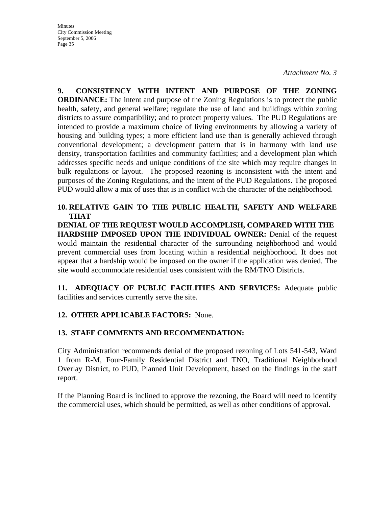*Attachment No. 3* 

**9. CONSISTENCY WITH INTENT AND PURPOSE OF THE ZONING ORDINANCE:** The intent and purpose of the Zoning Regulations is to protect the public health, safety, and general welfare; regulate the use of land and buildings within zoning districts to assure compatibility; and to protect property values. The PUD Regulations are intended to provide a maximum choice of living environments by allowing a variety of housing and building types; a more efficient land use than is generally achieved through conventional development; a development pattern that is in harmony with land use density, transportation facilities and community facilities; and a development plan which addresses specific needs and unique conditions of the site which may require changes in bulk regulations or layout. The proposed rezoning is inconsistent with the intent and purposes of the Zoning Regulations, and the intent of the PUD Regulations. The proposed PUD would allow a mix of uses that is in conflict with the character of the neighborhood.

### **10. RELATIVE GAIN TO THE PUBLIC HEALTH, SAFETY AND WELFARE THAT**

**DENIAL OF THE REQUEST WOULD ACCOMPLISH, COMPARED WITH THE HARDSHIP IMPOSED UPON THE INDIVIDUAL OWNER:** Denial of the request would maintain the residential character of the surrounding neighborhood and would prevent commercial uses from locating within a residential neighborhood. It does not appear that a hardship would be imposed on the owner if the application was denied. The site would accommodate residential uses consistent with the RM/TNO Districts.

**11. ADEQUACY OF PUBLIC FACILITIES AND SERVICES:** Adequate public facilities and services currently serve the site.

### **12. OTHER APPLICABLE FACTORS:** None.

### **13. STAFF COMMENTS AND RECOMMENDATION:**

City Administration recommends denial of the proposed rezoning of Lots 541-543, Ward 1 from R-M, Four-Family Residential District and TNO, Traditional Neighborhood Overlay District, to PUD, Planned Unit Development, based on the findings in the staff report.

If the Planning Board is inclined to approve the rezoning, the Board will need to identify the commercial uses, which should be permitted, as well as other conditions of approval.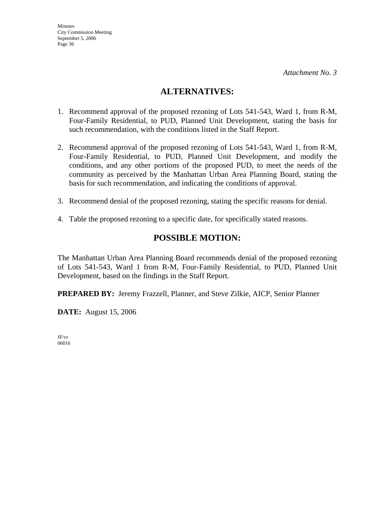## **ALTERNATIVES:**

- 1. Recommend approval of the proposed rezoning of Lots 541-543, Ward 1, from R-M, Four-Family Residential, to PUD, Planned Unit Development, stating the basis for such recommendation, with the conditions listed in the Staff Report.
- 2. Recommend approval of the proposed rezoning of Lots 541-543, Ward 1, from R-M, Four-Family Residential, to PUD, Planned Unit Development, and modify the conditions, and any other portions of the proposed PUD, to meet the needs of the community as perceived by the Manhattan Urban Area Planning Board, stating the basis for such recommendation, and indicating the conditions of approval.
- 3. Recommend denial of the proposed rezoning, stating the specific reasons for denial.
- 4. Table the proposed rezoning to a specific date, for specifically stated reasons.

## **POSSIBLE MOTION:**

The Manhattan Urban Area Planning Board recommends denial of the proposed rezoning of Lots 541-543, Ward 1 from R-M, Four-Family Residential, to PUD, Planned Unit Development, based on the findings in the Staff Report.

**PREPARED BY:** Jeremy Frazzell, Planner, and Steve Zilkie, AICP, Senior Planner

**DATE:** August 15, 2006

JF/vr 06016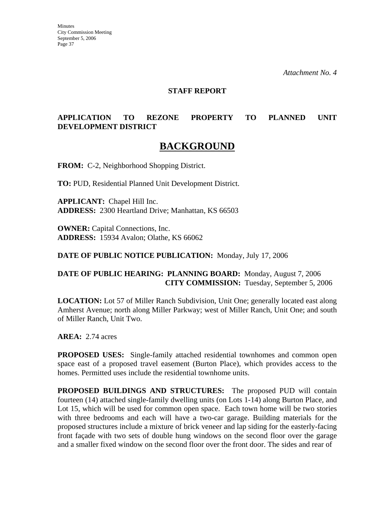*Attachment No. 4* 

### **STAFF REPORT**

## **APPLICATION TO REZONE PROPERTY TO PLANNED UNIT DEVELOPMENT DISTRICT**

# **BACKGROUND**

**FROM:** C-2, Neighborhood Shopping District.

**TO:** PUD, Residential Planned Unit Development District.

**APPLICANT:** Chapel Hill Inc. **ADDRESS:** 2300 Heartland Drive; Manhattan, KS 66503

**OWNER:** Capital Connections, Inc. **ADDRESS:** 15934 Avalon; Olathe, KS 66062

**DATE OF PUBLIC NOTICE PUBLICATION:** Monday, July 17, 2006

### **DATE OF PUBLIC HEARING: PLANNING BOARD:** Monday, August 7, 2006 **CITY COMMISSION:** Tuesday, September 5, 2006

**LOCATION:** Lot 57 of Miller Ranch Subdivision, Unit One; generally located east along Amherst Avenue; north along Miller Parkway; west of Miller Ranch, Unit One; and south of Miller Ranch, Unit Two.

**AREA:** 2.74 acres

**PROPOSED USES:** Single-family attached residential townhomes and common open space east of a proposed travel easement (Burton Place), which provides access to the homes. Permitted uses include the residential townhome units.

**PROPOSED BUILDINGS AND STRUCTURES:** The proposed PUD will contain fourteen (14) attached single-family dwelling units (on Lots 1-14) along Burton Place, and Lot 15, which will be used for common open space. Each town home will be two stories with three bedrooms and each will have a two-car garage. Building materials for the proposed structures include a mixture of brick veneer and lap siding for the easterly-facing front façade with two sets of double hung windows on the second floor over the garage and a smaller fixed window on the second floor over the front door. The sides and rear of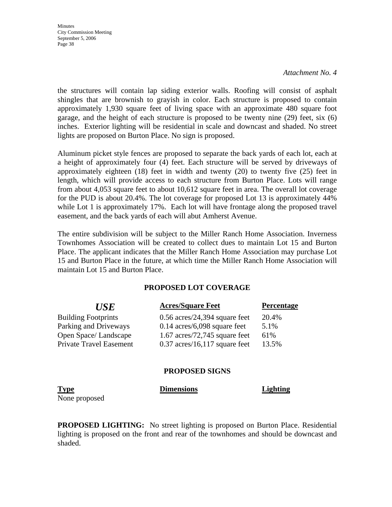*Attachment No. 4* 

the structures will contain lap siding exterior walls. Roofing will consist of asphalt shingles that are brownish to grayish in color. Each structure is proposed to contain approximately 1,930 square feet of living space with an approximate 480 square foot garage, and the height of each structure is proposed to be twenty nine (29) feet, six (6) inches. Exterior lighting will be residential in scale and downcast and shaded. No street lights are proposed on Burton Place. No sign is proposed.

Aluminum picket style fences are proposed to separate the back yards of each lot, each at a height of approximately four (4) feet. Each structure will be served by driveways of approximately eighteen (18) feet in width and twenty (20) to twenty five (25) feet in length, which will provide access to each structure from Burton Place. Lots will range from about 4,053 square feet to about 10,612 square feet in area. The overall lot coverage for the PUD is about 20.4%. The lot coverage for proposed Lot 13 is approximately 44% while Lot 1 is approximately 17%. Each lot will have frontage along the proposed travel easement, and the back yards of each will abut Amherst Avenue.

The entire subdivision will be subject to the Miller Ranch Home Association. Inverness Townhomes Association will be created to collect dues to maintain Lot 15 and Burton Place. The applicant indicates that the Miller Ranch Home Association may purchase Lot 15 and Burton Place in the future, at which time the Miller Ranch Home Association will maintain Lot 15 and Burton Place.

### **PROPOSED LOT COVERAGE**

| <b>USE</b>                     | <b>Acres/Square Feet</b>        | <b>Percentage</b> |
|--------------------------------|---------------------------------|-------------------|
| <b>Building Footprints</b>     | $0.56$ acres/24,394 square feet | 20.4%             |
| Parking and Driveways          | $0.14$ acres/6,098 square feet  | 5.1%              |
| Open Space/Landscape           | $1.67$ acres/72,745 square feet | 61%               |
| <b>Private Travel Easement</b> | $0.37$ acres/16,117 square feet | 13.5%             |
|                                |                                 |                   |
|                                |                                 |                   |

### **PROPOSED SIGNS**

| <b>Type</b>   | <b>Dimensions</b> | <b>Lighting</b> |
|---------------|-------------------|-----------------|
| $\sim$ $\sim$ |                   |                 |

None proposed

**PROPOSED LIGHTING:** No street lighting is proposed on Burton Place. Residential lighting is proposed on the front and rear of the townhomes and should be downcast and shaded.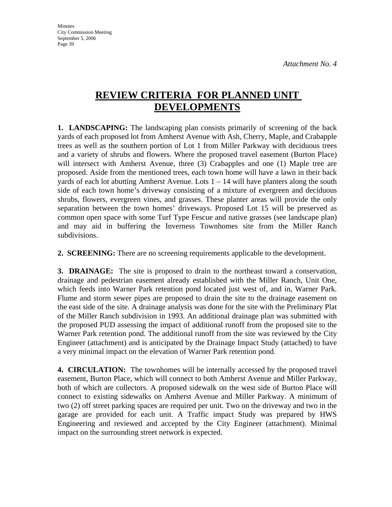**Minutes** City Commission Meeting September 5, 2006 Page 39

# **REVIEW CRITERIA FOR PLANNED UNIT DEVELOPMENTS**

**1. LANDSCAPING:** The landscaping plan consists primarily of screening of the back yards of each proposed lot from Amherst Avenue with Ash, Cherry, Maple, and Crabapple trees as well as the southern portion of Lot 1 from Miller Parkway with deciduous trees and a variety of shrubs and flowers. Where the proposed travel easement (Burton Place) will intersect with Amherst Avenue, three (3) Crabapples and one (1) Maple tree are proposed. Aside from the mentioned trees, each town home will have a lawn in their back yards of each lot abutting Amherst Avenue. Lots  $1 - 14$  will have planters along the south side of each town home's driveway consisting of a mixture of evergreen and deciduous shrubs, flowers, evergreen vines, and grasses. These planter areas will provide the only separation between the town homes' driveways. Proposed Lot 15 will be preserved as common open space with some Turf Type Fescue and native grasses (see landscape plan) and may aid in buffering the Inverness Townhomes site from the Miller Ranch subdivisions.

**2. SCREENING:** There are no screening requirements applicable to the development.

**3. DRAINAGE:** The site is proposed to drain to the northeast toward a conservation, drainage and pedestrian easement already established with the Miller Ranch, Unit One, which feeds into Warner Park retention pond located just west of, and in, Warner Park. Flume and storm sewer pipes are proposed to drain the site to the drainage easement on the east side of the site. A drainage analysis was done for the site with the Preliminary Plat of the Miller Ranch subdivision in 1993. An additional drainage plan was submitted with the proposed PUD assessing the impact of additional runoff from the proposed site to the Warner Park retention pond. The additional runoff from the site was reviewed by the City Engineer (attachment) and is anticipated by the Drainage Impact Study (attached) to have a very minimal impact on the elevation of Warner Park retention pond.

**4. CIRCULATION:** The townhomes will be internally accessed by the proposed travel easement, Burton Place, which will connect to both Amherst Avenue and Miller Parkway, both of which are collectors. A proposed sidewalk on the west side of Burton Place will connect to existing sidewalks on Amherst Avenue and Miller Parkway. A minimum of two (2) off street parking spaces are required per unit. Two on the driveway and two in the garage are provided for each unit. A Traffic impact Study was prepared by HWS Engineering and reviewed and accepted by the City Engineer (attachment). Minimal impact on the surrounding street network is expected.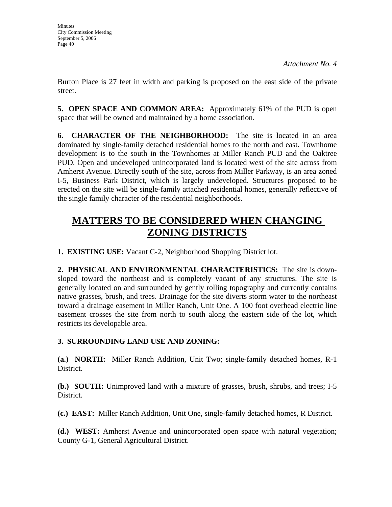Burton Place is 27 feet in width and parking is proposed on the east side of the private street.

**5. OPEN SPACE AND COMMON AREA:** Approximately 61% of the PUD is open space that will be owned and maintained by a home association.

**6. CHARACTER OF THE NEIGHBORHOOD:** The site is located in an area dominated by single-family detached residential homes to the north and east. Townhome development is to the south in the Townhomes at Miller Ranch PUD and the Oaktree PUD. Open and undeveloped unincorporated land is located west of the site across from Amherst Avenue. Directly south of the site, across from Miller Parkway, is an area zoned I-5, Business Park District, which is largely undeveloped. Structures proposed to be erected on the site will be single-family attached residential homes, generally reflective of the single family character of the residential neighborhoods.

# **MATTERS TO BE CONSIDERED WHEN CHANGING ZONING DISTRICTS**

**1. EXISTING USE:** Vacant C-2, Neighborhood Shopping District lot.

**2. PHYSICAL AND ENVIRONMENTAL CHARACTERISTICS:** The site is downsloped toward the northeast and is completely vacant of any structures. The site is generally located on and surrounded by gently rolling topography and currently contains native grasses, brush, and trees. Drainage for the site diverts storm water to the northeast toward a drainage easement in Miller Ranch, Unit One. A 100 foot overhead electric line easement crosses the site from north to south along the eastern side of the lot, which restricts its developable area.

## **3. SURROUNDING LAND USE AND ZONING:**

**(a.) NORTH:** Miller Ranch Addition, Unit Two; single-family detached homes, R-1 District.

**(b.) SOUTH:** Unimproved land with a mixture of grasses, brush, shrubs, and trees; I-5 District.

**(c.) EAST:** Miller Ranch Addition, Unit One, single-family detached homes, R District.

**(d.) WEST:** Amherst Avenue and unincorporated open space with natural vegetation; County G-1, General Agricultural District.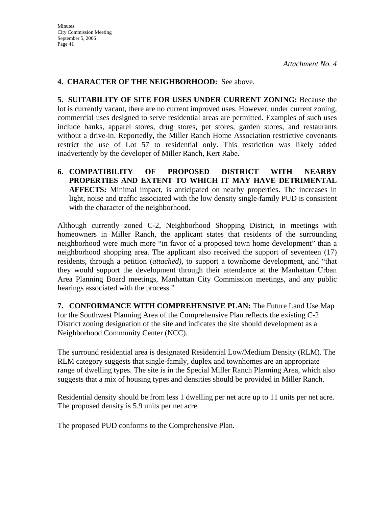## **4. CHARACTER OF THE NEIGHBORHOOD:** See above.

**5. SUITABILITY OF SITE FOR USES UNDER CURRENT ZONING:** Because the lot is currently vacant, there are no current improved uses. However, under current zoning, commercial uses designed to serve residential areas are permitted. Examples of such uses include banks, apparel stores, drug stores, pet stores, garden stores, and restaurants without a drive-in. Reportedly, the Miller Ranch Home Association restrictive covenants restrict the use of Lot 57 to residential only. This restriction was likely added inadvertently by the developer of Miller Ranch, Kert Rabe.

**6. COMPATIBILITY OF PROPOSED DISTRICT WITH NEARBY PROPERTIES AND EXTENT TO WHICH IT MAY HAVE DETRIMENTAL AFFECTS:** Minimal impact, is anticipated on nearby properties. The increases in light, noise and traffic associated with the low density single-family PUD is consistent with the character of the neighborhood.

Although currently zoned C-2, Neighborhood Shopping District, in meetings with homeowners in Miller Ranch, the applicant states that residents of the surrounding neighborhood were much more "in favor of a proposed town home development" than a neighborhood shopping area. The applicant also received the support of seventeen (17) residents, through a petition (*attached)*, to support a townhome development, and "that they would support the development through their attendance at the Manhattan Urban Area Planning Board meetings, Manhattan City Commission meetings, and any public hearings associated with the process."

**7. CONFORMANCE WITH COMPREHENSIVE PLAN:** The Future Land Use Map for the Southwest Planning Area of the Comprehensive Plan reflects the existing C-2 District zoning designation of the site and indicates the site should development as a Neighborhood Community Center (NCC).

The surround residential area is designated Residential Low/Medium Density (RLM). The RLM category suggests that single-family, duplex and townhomes are an appropriate range of dwelling types. The site is in the Special Miller Ranch Planning Area, which also suggests that a mix of housing types and densities should be provided in Miller Ranch.

Residential density should be from less 1 dwelling per net acre up to 11 units per net acre. The proposed density is 5.9 units per net acre.

The proposed PUD conforms to the Comprehensive Plan.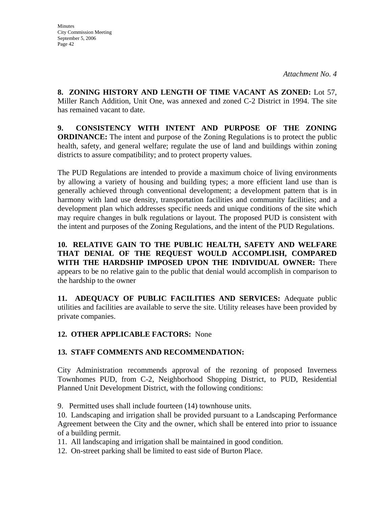**8. ZONING HISTORY AND LENGTH OF TIME VACANT AS ZONED:** Lot 57, Miller Ranch Addition, Unit One, was annexed and zoned C-2 District in 1994. The site has remained vacant to date.

**9. CONSISTENCY WITH INTENT AND PURPOSE OF THE ZONING ORDINANCE:** The intent and purpose of the Zoning Regulations is to protect the public health, safety, and general welfare; regulate the use of land and buildings within zoning districts to assure compatibility; and to protect property values.

The PUD Regulations are intended to provide a maximum choice of living environments by allowing a variety of housing and building types; a more efficient land use than is generally achieved through conventional development; a development pattern that is in harmony with land use density, transportation facilities and community facilities; and a development plan which addresses specific needs and unique conditions of the site which may require changes in bulk regulations or layout. The proposed PUD is consistent with the intent and purposes of the Zoning Regulations, and the intent of the PUD Regulations.

**10. RELATIVE GAIN TO THE PUBLIC HEALTH, SAFETY AND WELFARE THAT DENIAL OF THE REQUEST WOULD ACCOMPLISH, COMPARED WITH THE HARDSHIP IMPOSED UPON THE INDIVIDUAL OWNER:** There appears to be no relative gain to the public that denial would accomplish in comparison to the hardship to the owner

**11. ADEQUACY OF PUBLIC FACILITIES AND SERVICES:** Adequate public utilities and facilities are available to serve the site. Utility releases have been provided by private companies.

## **12. OTHER APPLICABLE FACTORS:** None

## **13. STAFF COMMENTS AND RECOMMENDATION:**

City Administration recommends approval of the rezoning of proposed Inverness Townhomes PUD, from C-2, Neighborhood Shopping District, to PUD, Residential Planned Unit Development District, with the following conditions:

9. Permitted uses shall include fourteen (14) townhouse units.

10. Landscaping and irrigation shall be provided pursuant to a Landscaping Performance Agreement between the City and the owner, which shall be entered into prior to issuance of a building permit.

11. All landscaping and irrigation shall be maintained in good condition.

12. On-street parking shall be limited to east side of Burton Place.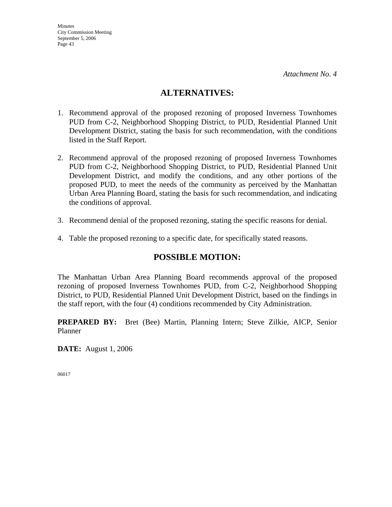## **ALTERNATIVES:**

- 1. Recommend approval of the proposed rezoning of proposed Inverness Townhomes PUD from C-2, Neighborhood Shopping District, to PUD, Residential Planned Unit Development District, stating the basis for such recommendation, with the conditions listed in the Staff Report.
- 2. Recommend approval of the proposed rezoning of proposed Inverness Townhomes PUD from C-2, Neighborhood Shopping District, to PUD, Residential Planned Unit Development District, and modify the conditions, and any other portions of the proposed PUD, to meet the needs of the community as perceived by the Manhattan Urban Area Planning Board, stating the basis for such recommendation, and indicating the conditions of approval.
- 3. Recommend denial of the proposed rezoning, stating the specific reasons for denial.
- 4. Table the proposed rezoning to a specific date, for specifically stated reasons.

## **POSSIBLE MOTION:**

The Manhattan Urban Area Planning Board recommends approval of the proposed rezoning of proposed Inverness Townhomes PUD, from C-2, Neighborhood Shopping District, to PUD, Residential Planned Unit Development District, based on the findings in the staff report, with the four (4) conditions recommended by City Administration.

**PREPARED BY:** Bret (Bee) Martin, Planning Intern; Steve Zilkie, AICP, Senior Planner

**DATE:** August 1, 2006

06017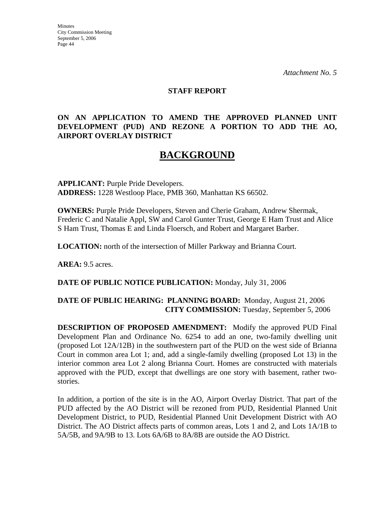*Attachment No. 5* 

### **STAFF REPORT**

### **ON AN APPLICATION TO AMEND THE APPROVED PLANNED UNIT DEVELOPMENT (PUD) AND REZONE A PORTION TO ADD THE AO, AIRPORT OVERLAY DISTRICT**

# **BACKGROUND**

**APPLICANT:** Purple Pride Developers. **ADDRESS:** 1228 Westloop Place, PMB 360, Manhattan KS 66502.

**OWNERS:** Purple Pride Developers, Steven and Cherie Graham, Andrew Shermak, Frederic C and Natalie Appl, SW and Carol Gunter Trust, George E Ham Trust and Alice S Ham Trust, Thomas E and Linda Floersch, and Robert and Margaret Barber.

**LOCATION:** north of the intersection of Miller Parkway and Brianna Court.

**AREA:** 9.5 acres.

### **DATE OF PUBLIC NOTICE PUBLICATION:** Monday, July 31, 2006

## **DATE OF PUBLIC HEARING: PLANNING BOARD:** Monday, August 21, 2006 **CITY COMMISSION:** Tuesday, September 5, 2006

**DESCRIPTION OF PROPOSED AMENDMENT:** Modify the approved PUD Final Development Plan and Ordinance No. 6254 to add an one, two-family dwelling unit (proposed Lot 12A/12B) in the southwestern part of the PUD on the west side of Brianna Court in common area Lot 1; and, add a single-family dwelling (proposed Lot 13) in the interior common area Lot 2 along Brianna Court. Homes are constructed with materials approved with the PUD, except that dwellings are one story with basement, rather twostories.

In addition, a portion of the site is in the AO, Airport Overlay District. That part of the PUD affected by the AO District will be rezoned from PUD, Residential Planned Unit Development District, to PUD, Residential Planned Unit Development District with AO District. The AO District affects parts of common areas, Lots 1 and 2, and Lots 1A/1B to 5A/5B, and 9A/9B to 13. Lots 6A/6B to 8A/8B are outside the AO District.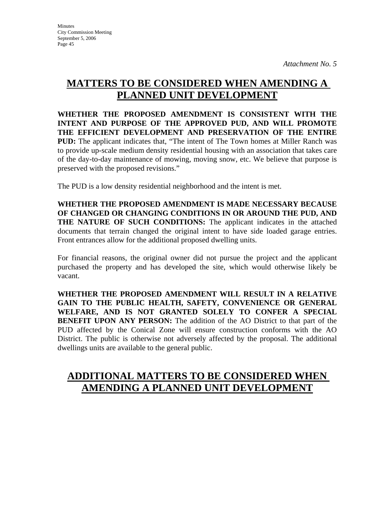# **MATTERS TO BE CONSIDERED WHEN AMENDING A PLANNED UNIT DEVELOPMENT**

**WHETHER THE PROPOSED AMENDMENT IS CONSISTENT WITH THE INTENT AND PURPOSE OF THE APPROVED PUD, AND WILL PROMOTE THE EFFICIENT DEVELOPMENT AND PRESERVATION OF THE ENTIRE PUD:** The applicant indicates that, "The intent of The Town homes at Miller Ranch was to provide up-scale medium density residential housing with an association that takes care of the day-to-day maintenance of mowing, moving snow, etc. We believe that purpose is preserved with the proposed revisions."

The PUD is a low density residential neighborhood and the intent is met.

**WHETHER THE PROPOSED AMENDMENT IS MADE NECESSARY BECAUSE OF CHANGED OR CHANGING CONDITIONS IN OR AROUND THE PUD, AND THE NATURE OF SUCH CONDITIONS:** The applicant indicates in the attached documents that terrain changed the original intent to have side loaded garage entries. Front entrances allow for the additional proposed dwelling units.

For financial reasons, the original owner did not pursue the project and the applicant purchased the property and has developed the site, which would otherwise likely be vacant.

**WHETHER THE PROPOSED AMENDMENT WILL RESULT IN A RELATIVE GAIN TO THE PUBLIC HEALTH, SAFETY, CONVENIENCE OR GENERAL WELFARE, AND IS NOT GRANTED SOLELY TO CONFER A SPECIAL BENEFIT UPON ANY PERSON:** The addition of the AO District to that part of the PUD affected by the Conical Zone will ensure construction conforms with the AO District. The public is otherwise not adversely affected by the proposal. The additional dwellings units are available to the general public.

# **ADDITIONAL MATTERS TO BE CONSIDERED WHEN AMENDING A PLANNED UNIT DEVELOPMENT**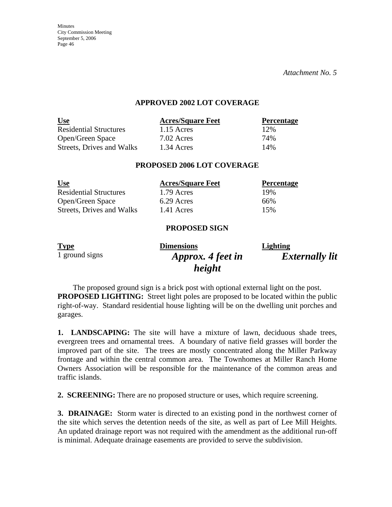*Attachment No. 5* 

### **APPROVED 2002 LOT COVERAGE**

| <u>Use</u>                    | <b>Acres/Square Feet</b> | <b>Percentage</b> |
|-------------------------------|--------------------------|-------------------|
| <b>Residential Structures</b> | $1.15$ Acres             | 12%               |
| Open/Green Space              | 7.02 Acres               | 74%               |
| Streets, Drives and Walks     | 1.34 Acres               | 14%               |

### **PROPOSED 2006 LOT COVERAGE**

| <u>Use</u>                    | <b>Acres/Square Feet</b> | <b>Percentage</b> |
|-------------------------------|--------------------------|-------------------|
| <b>Residential Structures</b> | 1.79 Acres               | 19%               |
| Open/Green Space              | 6.29 Acres               | 66%               |
| Streets, Drives and Walks     | 1.41 Acres               | 15%               |

### **PROPOSED SIGN**

| <b>Type</b>    | <b>Dimensions</b> | <b>Lighting</b>       |
|----------------|-------------------|-----------------------|
| 1 ground signs | Approx. 4 feet in | <b>Externally lit</b> |
|                | height            |                       |

The proposed ground sign is a brick post with optional external light on the post. **PROPOSED LIGHTING:** Street light poles are proposed to be located within the public right-of-way. Standard residential house lighting will be on the dwelling unit porches and garages.

**1. LANDSCAPING:** The site will have a mixture of lawn, deciduous shade trees, evergreen trees and ornamental trees. A boundary of native field grasses will border the improved part of the site. The trees are mostly concentrated along the Miller Parkway frontage and within the central common area. The Townhomes at Miller Ranch Home Owners Association will be responsible for the maintenance of the common areas and traffic islands.

**2. SCREENING:** There are no proposed structure or uses, which require screening.

**3. DRAINAGE:** Storm water is directed to an existing pond in the northwest corner of the site which serves the detention needs of the site, as well as part of Lee Mill Heights. An updated drainage report was not required with the amendment as the additional run-off is minimal. Adequate drainage easements are provided to serve the subdivision.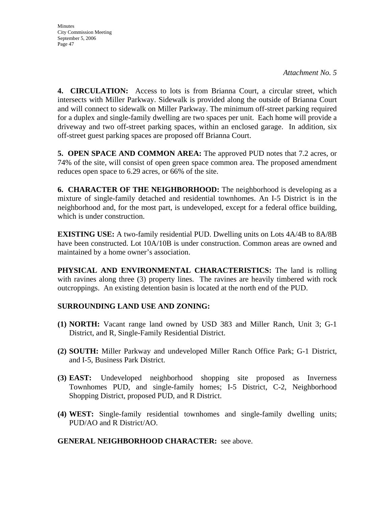**4. CIRCULATION:** Access to lots is from Brianna Court, a circular street, which intersects with Miller Parkway. Sidewalk is provided along the outside of Brianna Court and will connect to sidewalk on Miller Parkway. The minimum off-street parking required for a duplex and single-family dwelling are two spaces per unit. Each home will provide a driveway and two off-street parking spaces, within an enclosed garage. In addition, six off-street guest parking spaces are proposed off Brianna Court.

**5. OPEN SPACE AND COMMON AREA:** The approved PUD notes that 7.2 acres, or 74% of the site, will consist of open green space common area. The proposed amendment reduces open space to 6.29 acres, or 66% of the site.

**6. CHARACTER OF THE NEIGHBORHOOD:** The neighborhood is developing as a mixture of single-family detached and residential townhomes. An I-5 District is in the neighborhood and, for the most part, is undeveloped, except for a federal office building, which is under construction.

**EXISTING USE:** A two-family residential PUD. Dwelling units on Lots 4A/4B to 8A/8B have been constructed. Lot 10A/10B is under construction. Common areas are owned and maintained by a home owner's association.

**PHYSICAL AND ENVIRONMENTAL CHARACTERISTICS:** The land is rolling with ravines along three (3) property lines. The ravines are heavily timbered with rock outcroppings. An existing detention basin is located at the north end of the PUD.

## **SURROUNDING LAND USE AND ZONING:**

- **(1) NORTH:** Vacant range land owned by USD 383 and Miller Ranch, Unit 3; G-1 District, and R, Single-Family Residential District.
- **(2) SOUTH:** Miller Parkway and undeveloped Miller Ranch Office Park; G-1 District, and I-5, Business Park District.
- **(3) EAST:** Undeveloped neighborhood shopping site proposed as Inverness Townhomes PUD, and single-family homes; I-5 District, C-2, Neighborhood Shopping District, proposed PUD, and R District.
- **(4) WEST:** Single-family residential townhomes and single-family dwelling units; PUD/AO and R District/AO.

## **GENERAL NEIGHBORHOOD CHARACTER:** see above.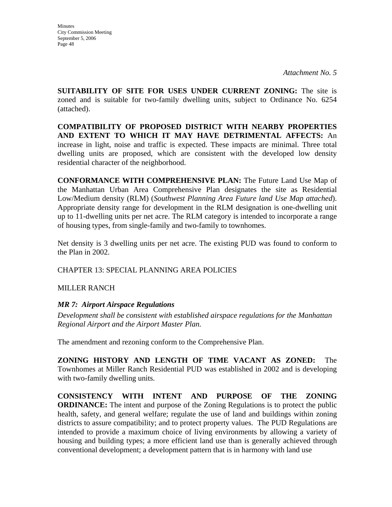**SUITABILITY OF SITE FOR USES UNDER CURRENT ZONING:** The site is zoned and is suitable for two-family dwelling units, subject to Ordinance No. 6254 (attached).

**COMPATIBILITY OF PROPOSED DISTRICT WITH NEARBY PROPERTIES AND EXTENT TO WHICH IT MAY HAVE DETRIMENTAL AFFECTS:** An increase in light, noise and traffic is expected. These impacts are minimal. Three total dwelling units are proposed, which are consistent with the developed low density residential character of the neighborhood.

**CONFORMANCE WITH COMPREHENSIVE PLAN:** The Future Land Use Map of the Manhattan Urban Area Comprehensive Plan designates the site as Residential Low/Medium density (RLM) (*Southwest Planning Area Future land Use Map attached*). Appropriate density range for development in the RLM designation is one-dwelling unit up to 11-dwelling units per net acre. The RLM category is intended to incorporate a range of housing types, from single-family and two-family to townhomes.

Net density is 3 dwelling units per net acre. The existing PUD was found to conform to the Plan in 2002.

CHAPTER 13: SPECIAL PLANNING AREA POLICIES

MILLER RANCH

## *MR 7: Airport Airspace Regulations*

*Development shall be consistent with established airspace regulations for the Manhattan Regional Airport and the Airport Master Plan.* 

The amendment and rezoning conform to the Comprehensive Plan.

**ZONING HISTORY AND LENGTH OF TIME VACANT AS ZONED:** The Townhomes at Miller Ranch Residential PUD was established in 2002 and is developing with two-family dwelling units.

**CONSISTENCY WITH INTENT AND PURPOSE OF THE ZONING ORDINANCE:** The intent and purpose of the Zoning Regulations is to protect the public health, safety, and general welfare; regulate the use of land and buildings within zoning districts to assure compatibility; and to protect property values. The PUD Regulations are intended to provide a maximum choice of living environments by allowing a variety of housing and building types; a more efficient land use than is generally achieved through conventional development; a development pattern that is in harmony with land use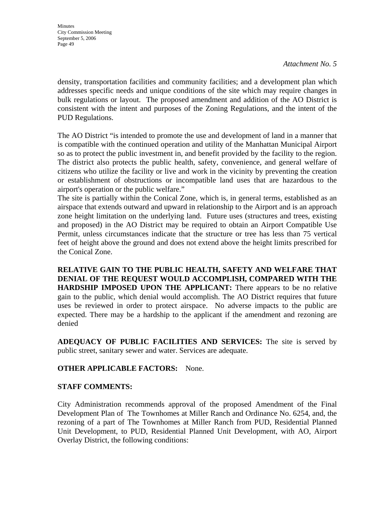density, transportation facilities and community facilities; and a development plan which addresses specific needs and unique conditions of the site which may require changes in bulk regulations or layout. The proposed amendment and addition of the AO District is consistent with the intent and purposes of the Zoning Regulations, and the intent of the PUD Regulations.

The AO District "is intended to promote the use and development of land in a manner that is compatible with the continued operation and utility of the Manhattan Municipal Airport so as to protect the public investment in, and benefit provided by the facility to the region. The district also protects the public health, safety, convenience, and general welfare of citizens who utilize the facility or live and work in the vicinity by preventing the creation or establishment of obstructions or incompatible land uses that are hazardous to the airport's operation or the public welfare."

The site is partially within the Conical Zone, which is, in general terms, established as an airspace that extends outward and upward in relationship to the Airport and is an approach zone height limitation on the underlying land. Future uses (structures and trees, existing and proposed) in the AO District may be required to obtain an Airport Compatible Use Permit, unless circumstances indicate that the structure or tree has less than 75 vertical feet of height above the ground and does not extend above the height limits prescribed for the Conical Zone.

**RELATIVE GAIN TO THE PUBLIC HEALTH, SAFETY AND WELFARE THAT DENIAL OF THE REQUEST WOULD ACCOMPLISH, COMPARED WITH THE HARDSHIP IMPOSED UPON THE APPLICANT:** There appears to be no relative gain to the public, which denial would accomplish. The AO District requires that future uses be reviewed in order to protect airspace. No adverse impacts to the public are expected. There may be a hardship to the applicant if the amendment and rezoning are denied

**ADEQUACY OF PUBLIC FACILITIES AND SERVICES:** The site is served by public street, sanitary sewer and water. Services are adequate.

## **OTHER APPLICABLE FACTORS:** None.

### **STAFF COMMENTS:**

City Administration recommends approval of the proposed Amendment of the Final Development Plan of The Townhomes at Miller Ranch and Ordinance No. 6254, and, the rezoning of a part of The Townhomes at Miller Ranch from PUD, Residential Planned Unit Development, to PUD, Residential Planned Unit Development, with AO, Airport Overlay District, the following conditions: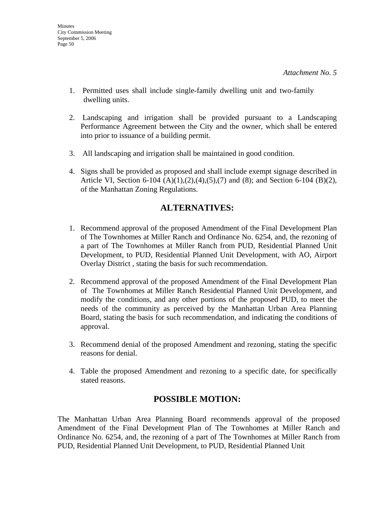- 1. Permitted uses shall include single-family dwelling unit and two-family dwelling units.
- 2. Landscaping and irrigation shall be provided pursuant to a Landscaping Performance Agreement between the City and the owner, which shall be entered into prior to issuance of a building permit.
- 3. All landscaping and irrigation shall be maintained in good condition.
- 4. Signs shall be provided as proposed and shall include exempt signage described in Article VI, Section 6-104 (A)(1),(2),(4),(5),(7) and (8); and Section 6-104 (B)(2), of the Manhattan Zoning Regulations.

## **ALTERNATIVES:**

- 1. Recommend approval of the proposed Amendment of the Final Development Plan of The Townhomes at Miller Ranch and Ordinance No. 6254, and, the rezoning of a part of The Townhomes at Miller Ranch from PUD, Residential Planned Unit Development, to PUD, Residential Planned Unit Development, with AO, Airport Overlay District , stating the basis for such recommendation.
- 2. Recommend approval of the proposed Amendment of the Final Development Plan of The Townhomes at Miller Ranch Residential Planned Unit Development, and modify the conditions, and any other portions of the proposed PUD, to meet the needs of the community as perceived by the Manhattan Urban Area Planning Board, stating the basis for such recommendation, and indicating the conditions of approval.
- 3. Recommend denial of the proposed Amendment and rezoning, stating the specific reasons for denial.
- 4. Table the proposed Amendment and rezoning to a specific date, for specifically stated reasons.

## **POSSIBLE MOTION:**

The Manhattan Urban Area Planning Board recommends approval of the proposed Amendment of the Final Development Plan of The Townhomes at Miller Ranch and Ordinance No. 6254, and, the rezoning of a part of The Townhomes at Miller Ranch from PUD, Residential Planned Unit Development, to PUD, Residential Planned Unit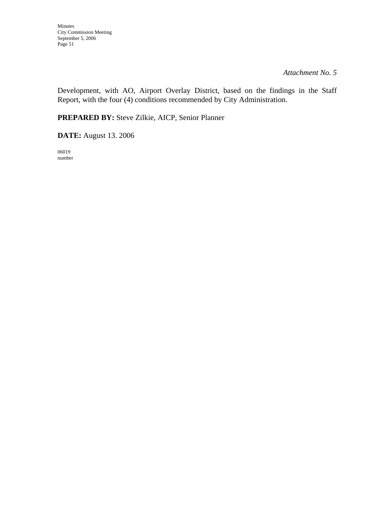*Attachment No. 5* 

Development, with AO, Airport Overlay District, based on the findings in the Staff Report, with the four (4) conditions recommended by City Administration.

**PREPARED BY:** Steve Zilkie, AICP, Senior Planner

**DATE:** August 13. 2006

06019 number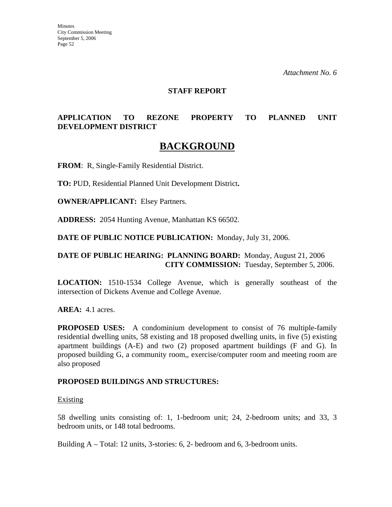### **STAFF REPORT**

## **APPLICATION TO REZONE PROPERTY TO PLANNED UNIT DEVELOPMENT DISTRICT**

# **BACKGROUND**

**FROM**: R, Single-Family Residential District.

**TO:** PUD, Residential Planned Unit Development District**.**

**OWNER/APPLICANT:** Elsey Partners.

**ADDRESS:** 2054 Hunting Avenue, Manhattan KS 66502.

**DATE OF PUBLIC NOTICE PUBLICATION:** Monday, July 31, 2006.

### **DATE OF PUBLIC HEARING: PLANNING BOARD:** Monday, August 21, 2006 **CITY COMMISSION:** Tuesday, September 5, 2006.

**LOCATION:** 1510-1534 College Avenue, which is generally southeast of the intersection of Dickens Avenue and College Avenue.

**AREA:** 4.1 acres.

**PROPOSED USES:** A condominium development to consist of 76 multiple-family residential dwelling units, 58 existing and 18 proposed dwelling units, in five (5) existing apartment buildings (A-E) and two (2) proposed apartment buildings (F and G). In proposed building G, a community room,, exercise/computer room and meeting room are also proposed

### **PROPOSED BUILDINGS AND STRUCTURES:**

#### Existing

58 dwelling units consisting of: 1, 1-bedroom unit; 24, 2-bedroom units; and 33, 3 bedroom units, or 148 total bedrooms.

Building A – Total: 12 units, 3-stories: 6, 2- bedroom and 6, 3-bedroom units.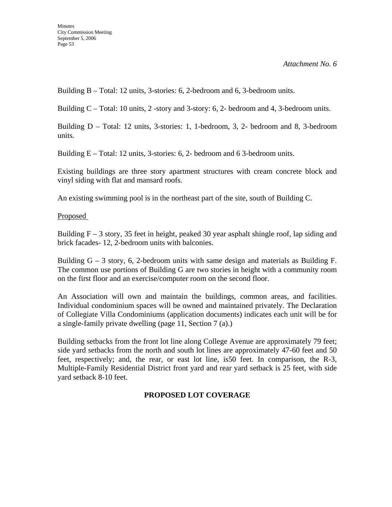Building B – Total: 12 units, 3-stories: 6, 2-bedroom and 6, 3-bedroom units.

Building C – Total: 10 units, 2 -story and 3-story: 6, 2- bedroom and 4, 3-bedroom units.

Building D – Total: 12 units, 3-stories: 1, 1-bedroom, 3, 2- bedroom and 8, 3-bedroom units.

Building E – Total: 12 units, 3-stories: 6, 2- bedroom and 6 3-bedroom units.

Existing buildings are three story apartment structures with cream concrete block and vinyl siding with flat and mansard roofs.

An existing swimming pool is in the northeast part of the site, south of Building C.

### Proposed

Building  $F - 3$  story, 35 feet in height, peaked 30 year asphalt shingle roof, lap siding and brick facades- 12, 2-bedroom units with balconies.

Building  $G - 3$  story, 6, 2-bedroom units with same design and materials as Building F. The common use portions of Building G are two stories in height with a community room on the first floor and an exercise/computer room on the second floor.

An Association will own and maintain the buildings, common areas, and facilities. Individual condominium spaces will be owned and maintained privately. The Declaration of Collegiate Villa Condominiums (application documents) indicates each unit will be for a single-family private dwelling (page 11, Section 7 (a).)

Building setbacks from the front lot line along College Avenue are approximately 79 feet; side yard setbacks from the north and south lot lines are approximately 47-60 feet and 50 feet, respectively; and, the rear, or east lot line, is50 feet. In comparison, the R-3, Multiple-Family Residential District front yard and rear yard setback is 25 feet, with side yard setback 8-10 feet.

## **PROPOSED LOT COVERAGE**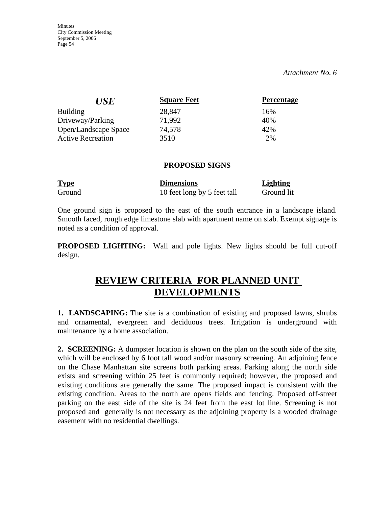#### *Attachment No. 6*

| <i>USE</i>               | <b>Square Feet</b> | <b>Percentage</b> |
|--------------------------|--------------------|-------------------|
| <b>Building</b>          | 28,847             | 16%               |
| Driveway/Parking         | 71.992             | 40%               |
| Open/Landscape Space     | 74,578             | 42%               |
| <b>Active Recreation</b> | 3510               | 2%                |

#### **PROPOSED SIGNS**

| <b>Type</b> | <b>Dimensions</b>           | Lighting   |
|-------------|-----------------------------|------------|
| Ground      | 10 feet long by 5 feet tall | Ground lit |

One ground sign is proposed to the east of the south entrance in a landscape island. Smooth faced, rough edge limestone slab with apartment name on slab. Exempt signage is noted as a condition of approval.

**PROPOSED LIGHTING:** Wall and pole lights. New lights should be full cut-off design.

# **REVIEW CRITERIA FOR PLANNED UNIT DEVELOPMENTS**

**1. LANDSCAPING:** The site is a combination of existing and proposed lawns, shrubs and ornamental, evergreen and deciduous trees. Irrigation is underground with maintenance by a home association.

**2. SCREENING:** A dumpster location is shown on the plan on the south side of the site, which will be enclosed by 6 foot tall wood and/or masonry screening. An adjoining fence on the Chase Manhattan site screens both parking areas. Parking along the north side exists and screening within 25 feet is commonly required; however, the proposed and existing conditions are generally the same. The proposed impact is consistent with the existing condition. Areas to the north are opens fields and fencing. Proposed off-street parking on the east side of the site is 24 feet from the east lot line. Screening is not proposed and generally is not necessary as the adjoining property is a wooded drainage easement with no residential dwellings.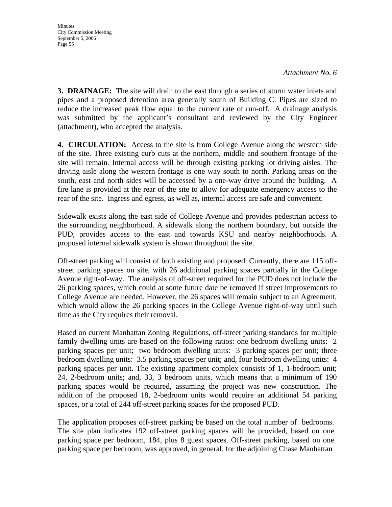**3. DRAINAGE:** The site will drain to the east through a series of storm water inlets and pipes and a proposed detention area generally south of Building C. Pipes are sized to reduce the increased peak flow equal to the current rate of run-off. A drainage analysis was submitted by the applicant's consultant and reviewed by the City Engineer (attachment), who accepted the analysis.

**4. CIRCULATION:** Access to the site is from College Avenue along the western side of the site. Three existing curb cuts at the northern, middle and southern frontage of the site will remain. Internal access will be through existing parking lot driving aisles. The driving aisle along the western frontage is one way south to north. Parking areas on the south, east and north sides will be accessed by a one-way drive around the building. A fire lane is provided at the rear of the site to allow for adequate emergency access to the rear of the site. Ingress and egress, as well as, internal access are safe and convenient.

Sidewalk exists along the east side of College Avenue and provides pedestrian access to the surrounding neighborhood. A sidewalk along the northern boundary, but outside the PUD, provides access to the east and towards KSU and nearby neighborhoods. A proposed internal sidewalk system is shown throughout the site.

Off-street parking will consist of both existing and proposed. Currently, there are 115 offstreet parking spaces on site, with 26 additional parking spaces partially in the College Avenue right-of-way. The analysis of off-street required for the PUD does not include the 26 parking spaces, which could at some future date be removed if street improvements to College Avenue are needed. However, the 26 spaces will remain subject to an Agreement, which would allow the 26 parking spaces in the College Avenue right-of-way until such time as the City requires their removal.

Based on current Manhattan Zoning Regulations, off-street parking standards for multiple family dwelling units are based on the following ratios: one bedroom dwelling units: 2 parking spaces per unit; two bedroom dwelling units: 3 parking spaces per unit; three bedroom dwelling units: 3.5 parking spaces per unit; and, four bedroom dwelling units: 4 parking spaces per unit. The existing apartment complex consists of 1, 1-bedroom unit; 24, 2-bedroom units; and, 33, 3 bedroom units, which means that a minimum of 190 parking spaces would be required, assuming the project was new construction. The addition of the proposed 18, 2-bedroom units would require an additional 54 parking spaces, or a total of 244 off-street parking spaces for the proposed PUD.

The application proposes off-street parking be based on the total number of bedrooms. The site plan indicates 192 off-street parking spaces will be provided, based on one parking space per bedroom, 184, plus 8 guest spaces. Off-street parking, based on one parking space per bedroom, was approved, in general, for the adjoining Chase Manhattan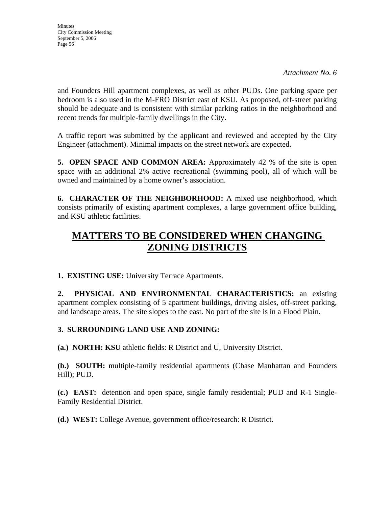and Founders Hill apartment complexes, as well as other PUDs. One parking space per bedroom is also used in the M-FRO District east of KSU. As proposed, off-street parking should be adequate and is consistent with similar parking ratios in the neighborhood and recent trends for multiple-family dwellings in the City.

A traffic report was submitted by the applicant and reviewed and accepted by the City Engineer (attachment). Minimal impacts on the street network are expected.

**5. OPEN SPACE AND COMMON AREA:** Approximately 42 % of the site is open space with an additional 2% active recreational (swimming pool), all of which will be owned and maintained by a home owner's association.

**6. CHARACTER OF THE NEIGHBORHOOD:** A mixed use neighborhood, which consists primarily of existing apartment complexes, a large government office building, and KSU athletic facilities.

# **MATTERS TO BE CONSIDERED WHEN CHANGING ZONING DISTRICTS**

**1. EXISTING USE:** University Terrace Apartments.

**2. PHYSICAL AND ENVIRONMENTAL CHARACTERISTICS:** an existing apartment complex consisting of 5 apartment buildings, driving aisles, off-street parking, and landscape areas. The site slopes to the east. No part of the site is in a Flood Plain.

## **3. SURROUNDING LAND USE AND ZONING:**

**(a.) NORTH: KSU** athletic fields: R District and U, University District.

**(b.) SOUTH:** multiple-family residential apartments (Chase Manhattan and Founders Hill); PUD.

**(c.) EAST:** detention and open space, single family residential; PUD and R-1 Single-Family Residential District.

**(d.) WEST:** College Avenue, government office/research: R District.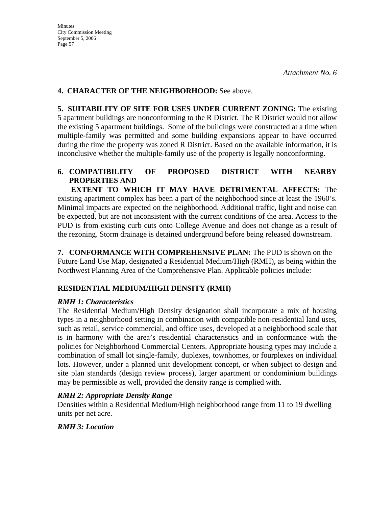## **4. CHARACTER OF THE NEIGHBORHOOD:** See above.

**5. SUITABILITY OF SITE FOR USES UNDER CURRENT ZONING:** The existing 5 apartment buildings are nonconforming to the R District. The R District would not allow the existing 5 apartment buildings. Some of the buildings were constructed at a time when multiple-family was permitted and some building expansions appear to have occurred during the time the property was zoned R District. Based on the available information, it is inconclusive whether the multiple-family use of the property is legally nonconforming.

## **6. COMPATIBILITY OF PROPOSED DISTRICT WITH NEARBY PROPERTIES AND**

 **EXTENT TO WHICH IT MAY HAVE DETRIMENTAL AFFECTS:** The existing apartment complex has been a part of the neighborhood since at least the 1960's. Minimal impacts are expected on the neighborhood. Additional traffic, light and noise can be expected, but are not inconsistent with the current conditions of the area. Access to the PUD is from existing curb cuts onto College Avenue and does not change as a result of the rezoning. Storm drainage is detained underground before being released downstream.

**7. CONFORMANCE WITH COMPREHENSIVE PLAN:** The PUD is shown on the Future Land Use Map, designated a Residential Medium/High (RMH), as being within the Northwest Planning Area of the Comprehensive Plan. Applicable policies include:

## **RESIDENTIAL MEDIUM/HIGH DENSITY (RMH)**

## *RMH 1: Characteristics*

The Residential Medium/High Density designation shall incorporate a mix of housing types in a neighborhood setting in combination with compatible non-residential land uses, such as retail, service commercial, and office uses, developed at a neighborhood scale that is in harmony with the area's residential characteristics and in conformance with the policies for Neighborhood Commercial Centers. Appropriate housing types may include a combination of small lot single-family, duplexes, townhomes, or fourplexes on individual lots. However, under a planned unit development concept, or when subject to design and site plan standards (design review process), larger apartment or condominium buildings may be permissible as well, provided the density range is complied with.

## *RMH 2: Appropriate Density Range*

Densities within a Residential Medium/High neighborhood range from 11 to 19 dwelling units per net acre.

## *RMH 3: Location*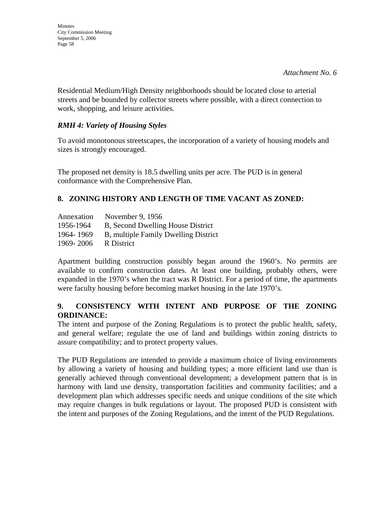*Attachment No. 6* 

Residential Medium/High Density neighborhoods should be located close to arterial streets and be bounded by collector streets where possible, with a direct connection to work, shopping, and leisure activities.

### *RMH 4: Variety of Housing Styles*

To avoid monotonous streetscapes, the incorporation of a variety of housing models and sizes is strongly encouraged.

The proposed net density is 18.5 dwelling units per acre. The PUD is in general conformance with the Comprehensive Plan.

## **8. ZONING HISTORY AND LENGTH OF TIME VACANT AS ZONED:**

| Annexation | November 9, 1956                     |
|------------|--------------------------------------|
| 1956-1964  | B, Second Dwelling House District    |
| 1964-1969  | B, multiple Family Dwelling District |
| 1969-2006  | R District                           |

Apartment building construction possibly began around the 1960's. No permits are available to confirm construction dates. At least one building, probably others, were expanded in the 1970's when the tract was R District. For a period of time, the apartments were faculty housing before becoming market housing in the late 1970's.

## **9. CONSISTENCY WITH INTENT AND PURPOSE OF THE ZONING ORDINANCE:**

The intent and purpose of the Zoning Regulations is to protect the public health, safety, and general welfare; regulate the use of land and buildings within zoning districts to assure compatibility; and to protect property values.

The PUD Regulations are intended to provide a maximum choice of living environments by allowing a variety of housing and building types; a more efficient land use than is generally achieved through conventional development; a development pattern that is in harmony with land use density, transportation facilities and community facilities; and a development plan which addresses specific needs and unique conditions of the site which may require changes in bulk regulations or layout. The proposed PUD is consistent with the intent and purposes of the Zoning Regulations, and the intent of the PUD Regulations.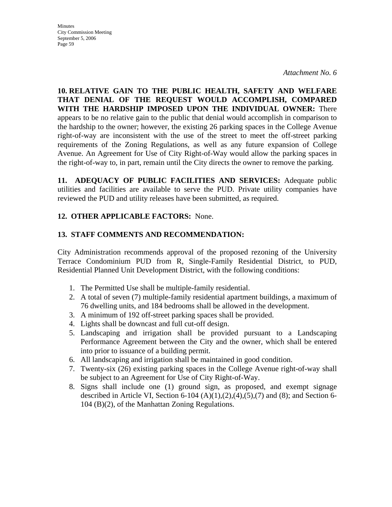*Attachment No. 6* 

**10. RELATIVE GAIN TO THE PUBLIC HEALTH, SAFETY AND WELFARE THAT DENIAL OF THE REQUEST WOULD ACCOMPLISH, COMPARED WITH THE HARDSHIP IMPOSED UPON THE INDIVIDUAL OWNER:** There appears to be no relative gain to the public that denial would accomplish in comparison to the hardship to the owner; however, the existing 26 parking spaces in the College Avenue right-of-way are inconsistent with the use of the street to meet the off-street parking requirements of the Zoning Regulations, as well as any future expansion of College Avenue. An Agreement for Use of City Right-of-Way would allow the parking spaces in the right-of-way to, in part, remain until the City directs the owner to remove the parking.

**11. ADEQUACY OF PUBLIC FACILITIES AND SERVICES:** Adequate public utilities and facilities are available to serve the PUD. Private utility companies have reviewed the PUD and utility releases have been submitted, as required.

## **12. OTHER APPLICABLE FACTORS:** None.

## **13. STAFF COMMENTS AND RECOMMENDATION:**

City Administration recommends approval of the proposed rezoning of the University Terrace Condominium PUD from R, Single-Family Residential District, to PUD, Residential Planned Unit Development District, with the following conditions:

- 1. The Permitted Use shall be multiple-family residential.
- 2. A total of seven (7) multiple-family residential apartment buildings, a maximum of 76 dwelling units, and 184 bedrooms shall be allowed in the development.
- 3. A minimum of 192 off-street parking spaces shall be provided.
- 4. Lights shall be downcast and full cut-off design.
- 5. Landscaping and irrigation shall be provided pursuant to a Landscaping Performance Agreement between the City and the owner, which shall be entered into prior to issuance of a building permit.
- 6. All landscaping and irrigation shall be maintained in good condition.
- 7. Twenty-six (26) existing parking spaces in the College Avenue right-of-way shall be subject to an Agreement for Use of City Right-of-Way.
- 8. Signs shall include one (1) ground sign, as proposed, and exempt signage described in Article VI, Section 6-104  $(A)(1),(2),(4),(5),(7)$  and  $(8)$ ; and Section 6-104 (B)(2), of the Manhattan Zoning Regulations.